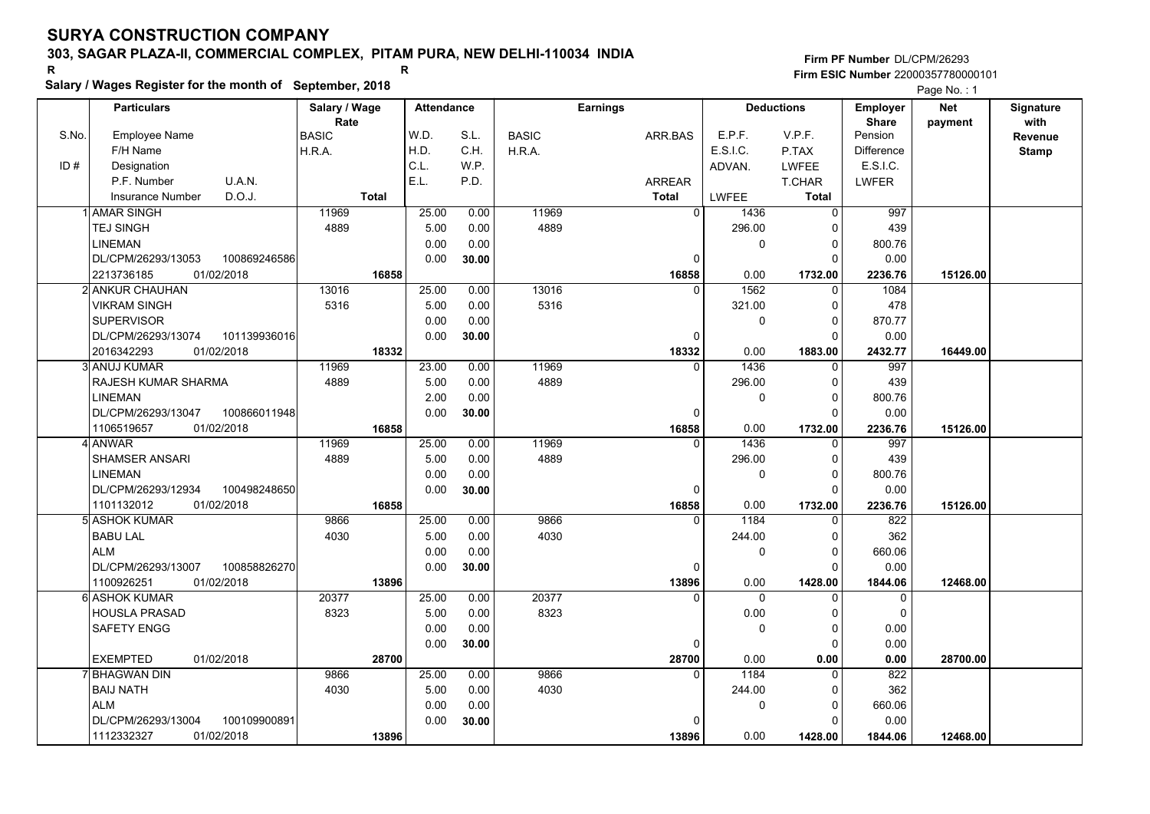# **Salary / Wages Register for the month of September, 2018 <sup>R</sup> <sup>R</sup>**

|       | Salary / wages Register for the month of September, 2018 |               |       |                   |       |              |                 |                |              |                   |                   | Page No.: 1 |              |
|-------|----------------------------------------------------------|---------------|-------|-------------------|-------|--------------|-----------------|----------------|--------------|-------------------|-------------------|-------------|--------------|
|       | <b>Particulars</b>                                       | Salary / Wage |       | <b>Attendance</b> |       |              | <b>Earnings</b> |                |              | <b>Deductions</b> | <b>Employer</b>   | <b>Net</b>  | Signature    |
|       |                                                          | Rate          |       |                   |       |              |                 |                |              |                   | <b>Share</b>      | payment     | with         |
| S.No. | <b>Employee Name</b>                                     | <b>BASIC</b>  |       | W.D.              | S.L.  | <b>BASIC</b> |                 | ARR.BAS        | E.P.F.       | V.P.F.            | Pension           |             | Revenue      |
|       | F/H Name                                                 | H.R.A.        |       | H.D.              | C.H.  | H.R.A.       |                 |                | E.S.I.C.     | P.TAX             | <b>Difference</b> |             | <b>Stamp</b> |
| ID#   | Designation                                              |               |       | C.L.              | W.P.  |              |                 |                | ADVAN.       | <b>LWFEE</b>      | E.S.I.C.          |             |              |
|       | U.A.N.<br>P.F. Number                                    |               |       | E.L.              | P.D.  |              |                 | <b>ARREAR</b>  |              | <b>T.CHAR</b>     | <b>LWFER</b>      |             |              |
|       | D.O.J.<br><b>Insurance Number</b>                        | <b>Total</b>  |       |                   |       |              |                 | <b>Total</b>   | <b>LWFEE</b> | <b>Total</b>      |                   |             |              |
|       | 1İAMAR SINGH                                             | 11969         |       | 25.00             | 0.00  | 11969        |                 | $\overline{0}$ | 1436         | $\mathbf 0$       | 997               |             |              |
|       | <b>TEJ SINGH</b>                                         | 4889          |       | 5.00              | 0.00  | 4889         |                 |                | 296.00       | $\Omega$          | 439               |             |              |
|       | <b>LINEMAN</b>                                           |               |       | 0.00              | 0.00  |              |                 |                | 0            | $\mathbf 0$       | 800.76            |             |              |
|       | 100869246586<br>DL/CPM/26293/13053                       |               |       | 0.00              | 30.00 |              |                 | 0              |              | $\Omega$          | 0.00              |             |              |
|       | 2213736185<br>01/02/2018                                 |               | 16858 |                   |       |              |                 | 16858          | 0.00         | 1732.00           | 2236.76           | 15126.00    |              |
|       | 2 ANKUR CHAUHAN                                          | 13016         |       | 25.00             | 0.00  | 13016        |                 | $\Omega$       | 1562         | $\Omega$          | 1084              |             |              |
|       | <b>VIKRAM SINGH</b>                                      | 5316          |       | 5.00              | 0.00  | 5316         |                 |                | 321.00       | 0                 | 478               |             |              |
|       | <b>SUPERVISOR</b>                                        |               |       | 0.00              | 0.00  |              |                 |                | 0            | $\Omega$          | 870.77            |             |              |
|       | DL/CPM/26293/13074<br>101139936016                       |               |       | 0.00              | 30.00 |              |                 | $\mathbf 0$    |              | $\Omega$          | 0.00              |             |              |
|       | 2016342293<br>01/02/2018                                 |               | 18332 |                   |       |              |                 | 18332          | 0.00         | 1883.00           | 2432.77           | 16449.00    |              |
|       | 3 ANUJ KUMAR                                             | 11969         |       | 23.00             | 0.00  | 11969        |                 | $\Omega$       | 1436         | 0                 | 997               |             |              |
|       | RAJESH KUMAR SHARMA                                      | 4889          |       | 5.00              | 0.00  | 4889         |                 |                | 296.00       | $\mathbf 0$       | 439               |             |              |
|       | <b>LINEMAN</b>                                           |               |       | 2.00              | 0.00  |              |                 |                | 0            | $\Omega$          | 800.76            |             |              |
|       | DL/CPM/26293/13047<br>100866011948                       |               |       | 0.00              | 30.00 |              |                 | $\Omega$       |              | $\Omega$          | 0.00              |             |              |
|       | 1106519657<br>01/02/2018                                 |               | 16858 |                   |       |              |                 | 16858          | 0.00         | 1732.00           | 2236.76           | 15126.00    |              |
|       | 4 ANWAR                                                  | 11969         |       | 25.00             | 0.00  | 11969        |                 | $\overline{0}$ | 1436         | $\Omega$          | $\overline{997}$  |             |              |
|       | <b>SHAMSER ANSARI</b>                                    | 4889          |       | 5.00              | 0.00  | 4889         |                 |                | 296.00       | $\Omega$          | 439               |             |              |
|       | <b>LINEMAN</b>                                           |               |       | 0.00              | 0.00  |              |                 |                | 0            | $\mathbf 0$       | 800.76            |             |              |
|       | DL/CPM/26293/12934<br>100498248650                       |               |       | 0.00              | 30.00 |              |                 | $\Omega$       |              | $\Omega$          | 0.00              |             |              |
|       | 1101132012<br>01/02/2018                                 |               | 16858 |                   |       |              |                 | 16858          | 0.00         | 1732.00           | 2236.76           | 15126.00    |              |
|       | 5l ASHOK KUMAR                                           | 9866          |       | 25.00             | 0.00  | 9866         |                 | $\Omega$       | 1184         | 0                 | 822               |             |              |
|       | <b>BABU LAL</b>                                          | 4030          |       | 5.00              | 0.00  | 4030         |                 |                | 244.00       | $\mathbf 0$       | 362               |             |              |
|       | <b>ALM</b>                                               |               |       | 0.00              | 0.00  |              |                 |                | 0            | $\Omega$          | 660.06            |             |              |
|       | DL/CPM/26293/13007<br>100858826270                       |               |       | 0.00              | 30.00 |              |                 | 0              |              | 0                 | 0.00              |             |              |
|       | 01/02/2018<br>1100926251                                 |               | 13896 |                   |       |              |                 | 13896          | 0.00         | 1428.00           | 1844.06           | 12468.00    |              |
|       | 6 ASHOK KUMAR                                            | 20377         |       | 25.00             | 0.00  | 20377        |                 | $\Omega$       | $\mathbf 0$  | $\mathbf 0$       | 0                 |             |              |
|       | <b>HOUSLA PRASAD</b>                                     | 8323          |       | 5.00              | 0.00  | 8323         |                 |                | 0.00         | $\mathbf 0$       | $\Omega$          |             |              |
|       | SAFETY ENGG                                              |               |       | 0.00              | 0.00  |              |                 |                | 0            | $\mathbf 0$       | 0.00              |             |              |
|       |                                                          |               |       | 0.00              | 30.00 |              |                 | $\Omega$       |              | $\mathbf 0$       | 0.00              |             |              |
|       | <b>EXEMPTED</b><br>01/02/2018                            |               | 28700 |                   |       |              |                 | 28700          | 0.00         | 0.00              | 0.00              | 28700.00    |              |
|       | 7 BHAGWAN DIN                                            | 9866          |       | 25.00             | 0.00  | 9866         |                 | $\Omega$       | 1184         | $\overline{0}$    | 822               |             |              |
|       | <b>BAIJ NATH</b>                                         | 4030          |       | 5.00              | 0.00  | 4030         |                 |                | 244.00       | $\Omega$          | 362               |             |              |
|       | <b>ALM</b>                                               |               |       | 0.00              | 0.00  |              |                 |                | 0            | $\mathbf 0$       | 660.06            |             |              |
|       | DL/CPM/26293/13004<br>100109900891                       |               |       | 0.00              | 30.00 |              |                 | 0              |              | $\Omega$          | 0.00              |             |              |
|       | 01/02/2018<br>1112332327                                 |               | 13896 |                   |       |              |                 | 13896          | 0.00         | 1428.00           | 1844.06           | 12468.00    |              |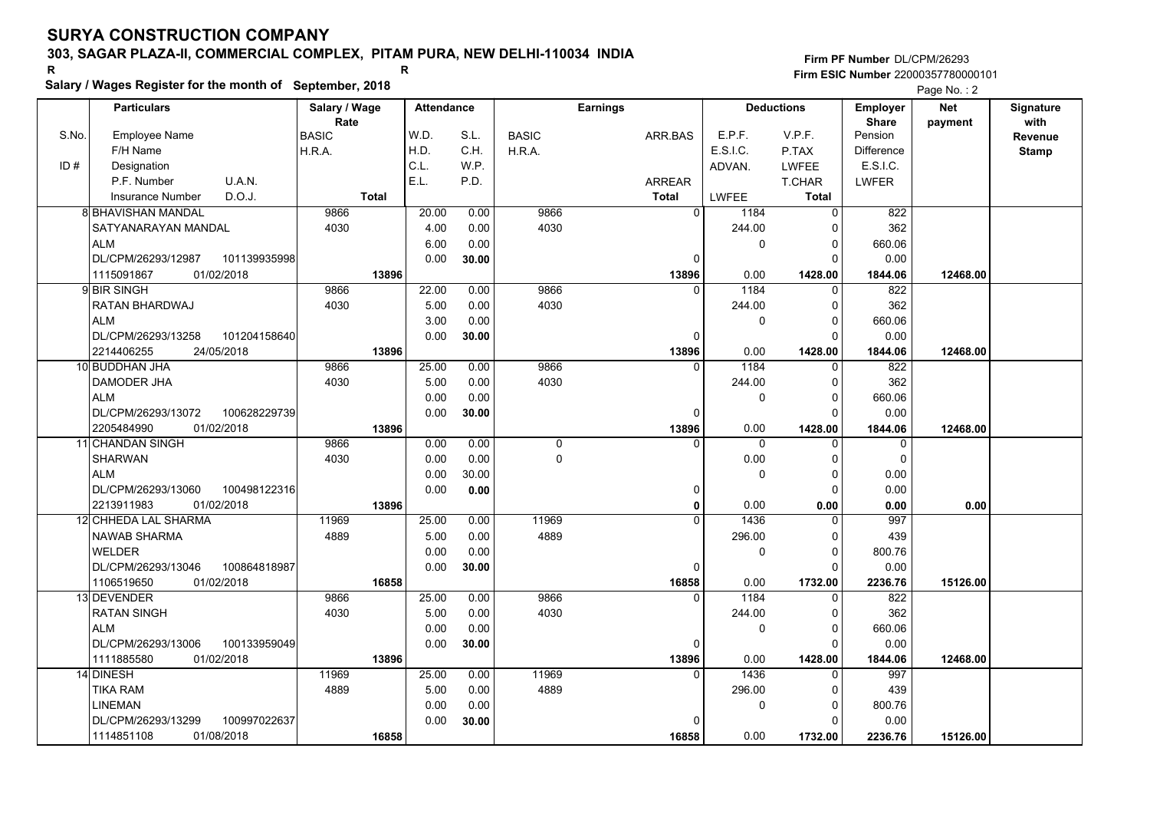# **Salary / Wages Register for the month of September, 2018 <sup>R</sup> <sup>R</sup>**

**Firm PF Number**DL/CPM/26293**Firm ESIC Number** 22000357780000101

Page No. : 2

|       | <b>Particulars</b>                 | Salary / Wage   | <b>Attendance</b> |       |              | <b>Earnings</b> |                          | <b>Deductions</b> | <b>Employer</b>         | Net      | Signature    |
|-------|------------------------------------|-----------------|-------------------|-------|--------------|-----------------|--------------------------|-------------------|-------------------------|----------|--------------|
| S.No. | Employee Name                      | Rate            | W.D.              | S.L.  |              |                 | E.P.F.                   | V.P.F.            | <b>Share</b><br>Pension | payment  | with         |
|       | F/H Name                           | BASIC<br>H.R.A. | H.D.              | C.H.  | <b>BASIC</b> | ARR.BAS         | E.S.I.C.                 | P.TAX             | Difference              |          | Revenue      |
| ID#   | Designation                        |                 | C.L.              | W.P.  | H.R.A.       |                 |                          | <b>LWFEE</b>      | E.S.I.C.                |          | <b>Stamp</b> |
|       | U.A.N.<br>P.F. Number              |                 | E.L.              | P.D.  |              |                 | ADVAN.                   |                   |                         |          |              |
|       | D.O.J.                             |                 |                   |       |              | <b>ARREAR</b>   |                          | T.CHAR            | <b>LWFER</b>            |          |              |
|       | Insurance Number                   | <b>Total</b>    |                   |       |              | <b>Total</b>    | LWFEE                    | <b>Total</b>      |                         |          |              |
|       | <b>8 BHAVISHAN MANDAL</b>          | 9866            | 20.00             | 0.00  | 9866         |                 | $\Omega$<br>1184         | $\mathbf 0$       | 822                     |          |              |
|       | SATYANARAYAN MANDAL                | 4030            | 4.00              | 0.00  | 4030         |                 | 244.00                   | 0                 | 362                     |          |              |
|       | <b>ALM</b>                         |                 | 6.00              | 0.00  |              |                 | 0                        | $\Omega$          | 660.06                  |          |              |
|       | DL/CPM/26293/12987<br>101139935998 |                 | 0.00              | 30.00 |              |                 | 0                        | $\Omega$          | 0.00                    |          |              |
|       | 01/02/2018<br>1115091867           | 13896           |                   |       |              | 13896           | 0.00                     | 1428.00           | 1844.06                 | 12468.00 |              |
|       | 9 BIR SINGH                        | 9866            | 22.00             | 0.00  | 9866         |                 | 1184<br>$\Omega$         | $\Omega$          | 822                     |          |              |
|       | RATAN BHARDWAJ                     | 4030            | 5.00              | 0.00  | 4030         |                 | 244.00                   | $\Omega$          | 362                     |          |              |
|       | ALM                                |                 | 3.00              | 0.00  |              |                 | 0                        | $\Omega$          | 660.06                  |          |              |
|       | DL/CPM/26293/13258<br>101204158640 |                 | 0.00              | 30.00 |              |                 | $\Omega$                 | $\Omega$          | 0.00                    |          |              |
|       | 2214406255<br>24/05/2018           | 13896           |                   |       |              | 13896           | 0.00                     | 1428.00           | 1844.06                 | 12468.00 |              |
|       | 10 BUDDHAN JHA                     | 9866            | 25.00             | 0.00  | 9866         |                 | 1184<br>U                | $\Omega$          | 822                     |          |              |
|       | DAMODER JHA                        | 4030            | 5.00              | 0.00  | 4030         |                 | 244.00                   | 0                 | 362                     |          |              |
|       | <b>ALM</b>                         |                 | 0.00              | 0.00  |              |                 | 0                        | $\Omega$          | 660.06                  |          |              |
|       | DL/CPM/26293/13072<br>100628229739 |                 | 0.00              | 30.00 |              |                 | 0                        | $\Omega$          | 0.00                    |          |              |
|       | 2205484990<br>01/02/2018           | 13896           |                   |       |              | 13896           | 0.00                     | 1428.00           | 1844.06                 | 12468.00 |              |
|       | 11 CHANDAN SINGH                   | 9866            | 0.00              | 0.00  | 0            |                 | $\Omega$<br>$\mathbf{0}$ | $\mathbf 0$       | $\mathbf 0$             |          |              |
|       | <b>SHARWAN</b>                     | 4030            | 0.00              | 0.00  | $\pmb{0}$    |                 | 0.00                     | 0                 | $\mathbf 0$             |          |              |
|       | ALM                                |                 | 0.00              | 30.00 |              |                 | 0                        | $\Omega$          | 0.00                    |          |              |
|       | DL/CPM/26293/13060<br>100498122316 |                 | 0.00              | 0.00  |              |                 | 0                        | $\Omega$          | 0.00                    |          |              |
|       | 2213911983<br>01/02/2018           | 13896           |                   |       |              |                 | 0.00<br>$\mathbf{0}$     | 0.00              | 0.00                    | 0.00     |              |
|       | 12 CHHEDA LAL SHARMA               | 11969           | 25.00             | 0.00  | 11969        |                 | 1436<br>$\Omega$         | $\Omega$          | 997                     |          |              |
|       | NAWAB SHARMA                       | 4889            | 5.00              | 0.00  | 4889         |                 | 296.00                   | $\Omega$          | 439                     |          |              |
|       | <b>WELDER</b>                      |                 | 0.00              | 0.00  |              |                 | 0                        | $\Omega$          | 800.76                  |          |              |
|       | DL/CPM/26293/13046<br>100864818987 |                 | 0.00              | 30.00 |              |                 | $\Omega$                 | $\Omega$          | 0.00                    |          |              |
|       | 1106519650<br>01/02/2018           | 16858           |                   |       |              | 16858           | 0.00                     | 1732.00           | 2236.76                 | 15126.00 |              |
|       | 13 DEVENDER                        | 9866            | 25.00             | 0.00  | 9866         |                 | 1184<br><sup>0</sup>     | 0                 | 822                     |          |              |
|       | <b>RATAN SINGH</b>                 | 4030            | 5.00              | 0.00  | 4030         |                 | 244.00                   | $\Omega$          | 362                     |          |              |
|       | ALM                                |                 | 0.00              | 0.00  |              |                 | 0                        | $\Omega$          | 660.06                  |          |              |
|       | 100133959049<br>DL/CPM/26293/13006 |                 | 0.00              | 30.00 |              |                 | 0                        | $\Omega$          | 0.00                    |          |              |
|       | 01/02/2018<br>1111885580           | 13896           |                   |       |              | 13896           | 0.00                     | 1428.00           | 1844.06                 | 12468.00 |              |
|       | 14 DINESH                          | 11969           | 25.00             | 0.00  | 11969        |                 | 1436<br>$\Omega$         | $\Omega$          | 997                     |          |              |
|       | <b>TIKA RAM</b>                    | 4889            | 5.00              | 0.00  | 4889         |                 | 296.00                   | $\Omega$          | 439                     |          |              |
|       | <b>LINEMAN</b>                     |                 | 0.00              | 0.00  |              |                 | 0                        | $\Omega$          | 800.76                  |          |              |
|       | DL/CPM/26293/13299<br>100997022637 |                 | 0.00              | 30.00 |              |                 |                          | $\Omega$          | 0.00                    |          |              |
|       | 01/08/2018<br>1114851108           | 16858           |                   |       |              | 16858           | 0.00                     | 1732.00           | 2236.76                 | 15126.00 |              |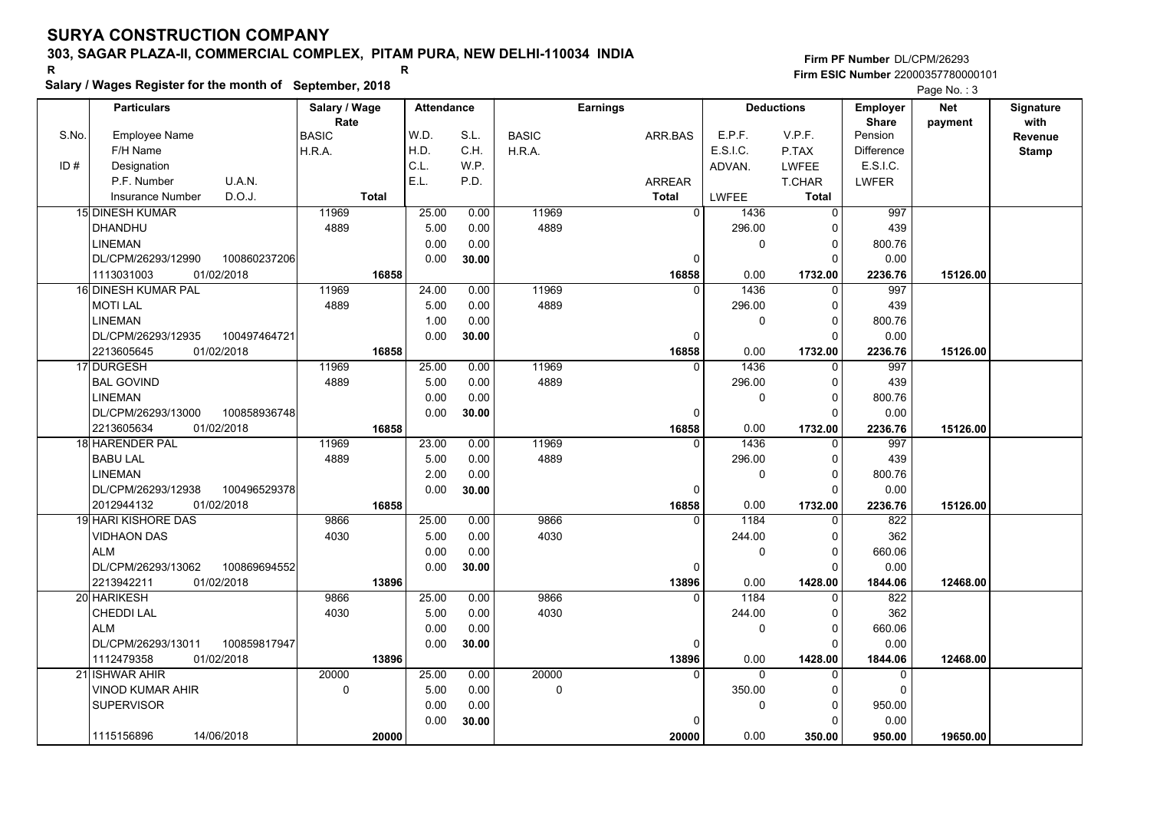# **Salary / Wages Register for the month of September, 2018 <sup>R</sup> <sup>R</sup>**

|       | Salary / wages Register for the month of September, 2018 |               |                   |       |              |                 |                        |                   |                   | Page No.: 3 |              |
|-------|----------------------------------------------------------|---------------|-------------------|-------|--------------|-----------------|------------------------|-------------------|-------------------|-------------|--------------|
|       | <b>Particulars</b>                                       | Salary / Wage | <b>Attendance</b> |       |              | <b>Earnings</b> |                        | <b>Deductions</b> | <b>Employer</b>   | <b>Net</b>  | Signature    |
|       |                                                          | Rate          |                   |       |              |                 |                        |                   | Share             | payment     | with         |
| S.No. | <b>Employee Name</b>                                     | <b>BASIC</b>  | W.D.              | S.L.  | <b>BASIC</b> | ARR.BAS         | E.P.F.                 | V.P.F.            | Pension           |             | Revenue      |
|       | F/H Name                                                 | H.R.A.        | H.D.              | C.H.  | H.R.A.       |                 | E.S.I.C.               | P.TAX             | <b>Difference</b> |             | <b>Stamp</b> |
| ID#   | Designation                                              |               | C.L.              | W.P.  |              |                 | ADVAN.                 | <b>LWFEE</b>      | E.S.I.C.          |             |              |
|       | U.A.N.<br>P.F. Number                                    |               | E.L.              | P.D.  |              | <b>ARREAR</b>   |                        | T.CHAR            | <b>LWFER</b>      |             |              |
|       | D.O.J.<br><b>Insurance Number</b>                        | <b>Total</b>  |                   |       |              | <b>Total</b>    | <b>LWFEE</b>           | <b>Total</b>      |                   |             |              |
|       | <b>15 DINESH KUMAR</b>                                   | 11969         | 25.00             | 0.00  | 11969        |                 | $\overline{0}$<br>1436 | $\Omega$          | 997               |             |              |
|       | <b>DHANDHU</b>                                           | 4889          | 5.00              | 0.00  | 4889         |                 | 296.00                 | C                 | 439               |             |              |
|       | <b>LINEMAN</b>                                           |               | 0.00              | 0.00  |              |                 | 0                      | $\mathbf 0$       | 800.76            |             |              |
|       | DL/CPM/26293/12990<br>100860237206                       |               | 0.00              | 30.00 |              |                 | $\mathbf 0$            | $\Omega$          | 0.00              |             |              |
|       | 1113031003<br>01/02/2018                                 | 16858         |                   |       |              | 16858           | 0.00                   | 1732.00           | 2236.76           | 15126.00    |              |
|       | 16 DINESH KUMAR PAL                                      | 11969         | 24.00             | 0.00  | 11969        |                 | 1436<br>$\Omega$       | O                 | 997               |             |              |
|       | <b>MOTI LAL</b>                                          | 4889          | 5.00              | 0.00  | 4889         |                 | 296.00                 | 0                 | 439               |             |              |
|       | <b>LINEMAN</b>                                           |               | 1.00              | 0.00  |              |                 | 0                      | 0                 | 800.76            |             |              |
|       | DL/CPM/26293/12935<br>100497464721                       |               | 0.00              | 30.00 |              |                 | 0                      | C                 | 0.00              |             |              |
|       | 2213605645<br>01/02/2018                                 | 16858         |                   |       |              | 16858           | 0.00                   | 1732.00           | 2236.76           | 15126.00    |              |
|       | 17 DURGESH                                               | 11969         | 25.00             | 0.00  | 11969        |                 | 1436<br>$\Omega$       | $\Omega$          | 997               |             |              |
|       | <b>BAL GOVIND</b>                                        | 4889          | 5.00              | 0.00  | 4889         |                 | 296.00                 | $\Omega$          | 439               |             |              |
|       | <b>LINEMAN</b>                                           |               | 0.00              | 0.00  |              |                 | 0                      | $\Omega$          | 800.76            |             |              |
|       | DL/CPM/26293/13000<br>100858936748                       |               | 0.00              | 30.00 |              |                 | $\Omega$               | $\Omega$          | 0.00              |             |              |
|       | 2213605634<br>01/02/2018                                 | 16858         |                   |       |              | 16858           | 0.00                   | 1732.00           | 2236.76           | 15126.00    |              |
|       | <b>18 HARENDER PAL</b>                                   | 11969         | 23.00             | 0.00  | 11969        |                 | 1436<br>$\Omega$       | O                 | 997               |             |              |
|       | <b>BABU LAL</b>                                          | 4889          | 5.00              | 0.00  | 4889         |                 | 296.00                 | C                 | 439               |             |              |
|       | <b>LINEMAN</b>                                           |               | 2.00              | 0.00  |              |                 | 0                      | 0                 | 800.76            |             |              |
|       | DL/CPM/26293/12938<br>100496529378                       |               | 0.00              | 30.00 |              |                 | $\Omega$               | $\Omega$          | 0.00              |             |              |
|       | 2012944132<br>01/02/2018                                 | 16858         |                   |       |              | 16858           | 0.00                   | 1732.00           | 2236.76           | 15126.00    |              |
|       | 19 HARI KISHORE DAS                                      | 9866          | 25.00             | 0.00  | 9866         |                 | 1184<br>$\Omega$       | O                 | 822               |             |              |
|       | <b>VIDHAON DAS</b>                                       | 4030          | 5.00              | 0.00  | 4030         |                 | 244.00                 | $\Omega$          | 362               |             |              |
|       | <b>ALM</b>                                               |               | 0.00              | 0.00  |              |                 | 0                      | $\Omega$          | 660.06            |             |              |
|       | DL/CPM/26293/13062<br>100869694552                       |               | 0.00              | 30.00 |              |                 | 0                      | C                 | 0.00              |             |              |
|       | 2213942211<br>01/02/2018                                 | 13896         |                   |       |              | 13896           | 0.00                   | 1428.00           | 1844.06           | 12468.00    |              |
|       | 20 HARIKESH                                              | 9866          | 25.00             | 0.00  | 9866         |                 | 1184<br>$\Omega$       | $\Omega$          | 822               |             |              |
|       | CHEDDI LAL                                               | 4030          | 5.00              | 0.00  | 4030         |                 | 244.00                 | $\Omega$          | 362               |             |              |
|       | <b>ALM</b>                                               |               | 0.00              | 0.00  |              |                 | 0                      | 0                 | 660.06            |             |              |
|       | DL/CPM/26293/13011<br>100859817947                       |               | 0.00              | 30.00 |              |                 | $\mathbf 0$            | O                 | 0.00              |             |              |
|       | 1112479358<br>01/02/2018                                 | 13896         |                   |       |              | 13896           | 0.00                   | 1428.00           | 1844.06           | 12468.00    |              |
|       | 21 ISHWAR AHIR                                           | 20000         | 25.00             | 0.00  | 20000        |                 | $\Omega$<br>$\Omega$   | O                 | $\Omega$          |             |              |
|       | VINOD KUMAR AHIR                                         | 0             | 5.00              | 0.00  | $\mathbf 0$  |                 | 350.00                 | C                 | $\mathbf 0$       |             |              |
|       | <b>SUPERVISOR</b>                                        |               | 0.00              | 0.00  |              |                 | 0                      | 0                 | 950.00            |             |              |
|       |                                                          |               | 0.00              | 30.00 |              |                 | $\Omega$               |                   | 0.00              |             |              |
|       | 1115156896<br>14/06/2018                                 | 20000         |                   |       |              | 20000           | 0.00                   | 350.00            | 950.00            | 19650.00    |              |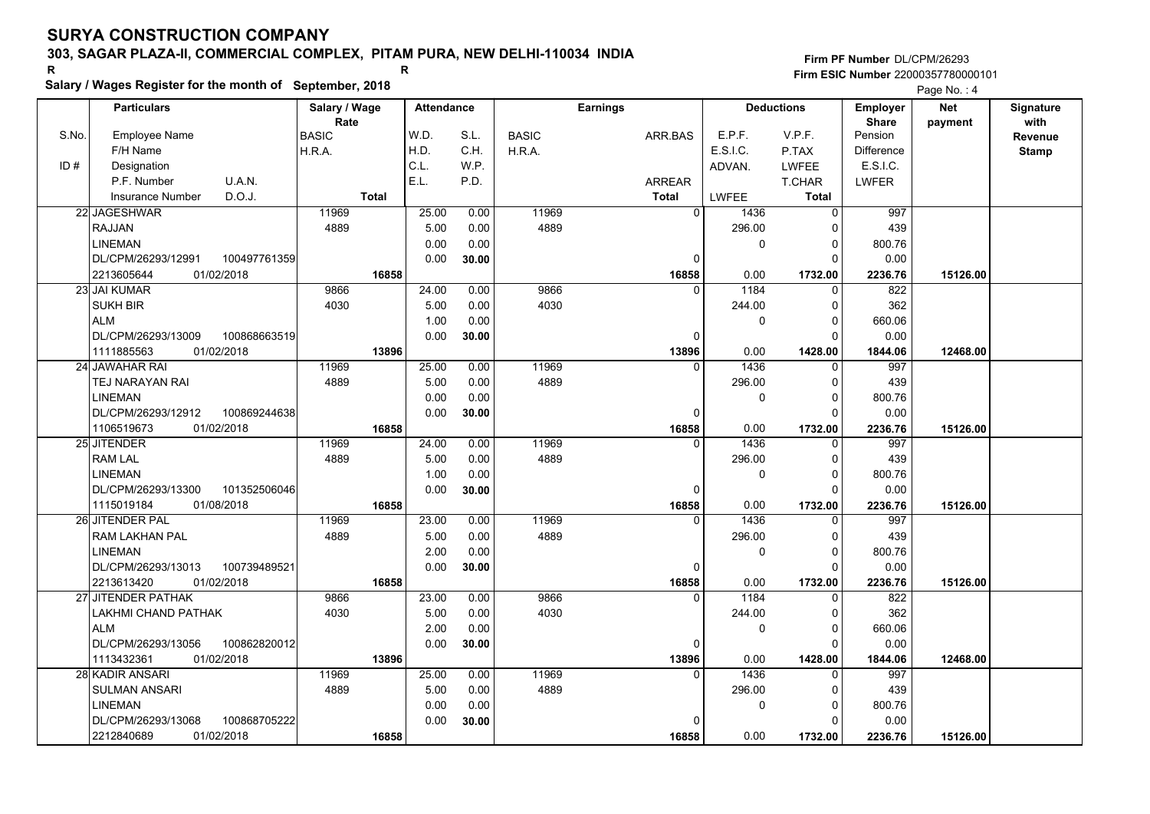**Salary / Wages Register for the month of September, 2018 <sup>R</sup> <sup>R</sup>**

|       | Salary / Wages Register for the month of September, 2018 |               |                   |       |              |                 |              |                   |                   | Page No.: 4 |                  |
|-------|----------------------------------------------------------|---------------|-------------------|-------|--------------|-----------------|--------------|-------------------|-------------------|-------------|------------------|
|       | <b>Particulars</b>                                       | Salary / Wage | <b>Attendance</b> |       |              | <b>Earnings</b> |              | <b>Deductions</b> | <b>Employer</b>   | <b>Net</b>  | <b>Signature</b> |
|       |                                                          | Rate          |                   |       |              |                 |              |                   | <b>Share</b>      | payment     | with             |
| S.No. | <b>Employee Name</b>                                     | <b>BASIC</b>  | W.D.              | S.L.  | <b>BASIC</b> | ARR.BAS         | E.P.F.       | V.P.F.            | Pension           |             | Revenue          |
|       | F/H Name                                                 | H.R.A.        | H.D.              | C.H.  | H.R.A.       |                 | E.S.I.C.     | P.TAX             | <b>Difference</b> |             | <b>Stamp</b>     |
| ID#   | Designation                                              |               | C.L.              | W.P.  |              |                 | ADVAN.       | <b>LWFEE</b>      | E.S.I.C.          |             |                  |
|       | P.F. Number<br>U.A.N.                                    |               | E.L.              | P.D.  |              | ARREAR          |              | <b>T.CHAR</b>     | <b>LWFER</b>      |             |                  |
|       | D.O.J.<br><b>Insurance Number</b>                        | <b>Total</b>  |                   |       |              | <b>Total</b>    | <b>LWFEE</b> | <b>Total</b>      |                   |             |                  |
|       | 22 JAGESHWAR                                             | 11969         | 25.00             | 0.00  | 11969        | $\mathbf 0$     | 1436         | $\overline{0}$    | 997               |             |                  |
|       | <b>RAJJAN</b>                                            | 4889          | 5.00              | 0.00  | 4889         |                 | 296.00       |                   | 439               |             |                  |
|       | <b>LINEMAN</b>                                           |               | 0.00              | 0.00  |              |                 | $\mathbf{0}$ | 0                 | 800.76            |             |                  |
|       | DL/CPM/26293/12991<br>100497761359                       |               | 0.00              | 30.00 |              | $\mathbf 0$     |              | $\Omega$          | 0.00              |             |                  |
|       | 01/02/2018<br>2213605644                                 | 16858         |                   |       |              | 16858           | 0.00         | 1732.00           | 2236.76           | 15126.00    |                  |
|       | 23 JAI KUMAR                                             | 9866          | 24.00             | 0.00  | 9866         | $\Omega$        | 1184         | $\Omega$          | 822               |             |                  |
|       | <b>SUKH BIR</b>                                          | 4030          | 5.00              | 0.00  | 4030         |                 | 244.00       | $\Omega$          | 362               |             |                  |
|       | <b>ALM</b>                                               |               | 1.00              | 0.00  |              |                 | $\mathbf{0}$ |                   | 660.06            |             |                  |
|       | DL/CPM/26293/13009<br>100868663519                       |               | 0.00              | 30.00 |              | 0               |              |                   | 0.00              |             |                  |
|       | 1111885563<br>01/02/2018                                 | 13896         |                   |       |              | 13896           | 0.00         | 1428.00           | 1844.06           | 12468.00    |                  |
|       | 24 JAWAHAR RAI                                           | 11969         | 25.00             | 0.00  | 11969        | $\mathbf{0}$    | 1436         | $\Omega$          | 997               |             |                  |
|       | TEJ NARAYAN RAI                                          | 4889          | 5.00              | 0.00  | 4889         |                 | 296.00       | $\Omega$          | 439               |             |                  |
|       | <b>LINEMAN</b>                                           |               | 0.00              | 0.00  |              |                 | 0            | $\Omega$          | 800.76            |             |                  |
|       | DL/CPM/26293/12912<br>100869244638                       |               | 0.00              | 30.00 |              | $\mathbf 0$     |              | <sup>0</sup>      | 0.00              |             |                  |
|       | 1106519673<br>01/02/2018                                 | 16858         |                   |       |              | 16858           | 0.00         | 1732.00           | 2236.76           | 15126.00    |                  |
|       | 25 JITENDER                                              | 11969         | 24.00             | 0.00  | 11969        | $\Omega$        | 1436         |                   | 997               |             |                  |
|       | <b>RAM LAL</b>                                           | 4889          | 5.00              | 0.00  | 4889         |                 | 296.00       |                   | 439               |             |                  |
|       | <b>LINEMAN</b>                                           |               | 1.00              | 0.00  |              |                 | $\mathbf{0}$ | $\Omega$          | 800.76            |             |                  |
|       | DL/CPM/26293/13300<br>101352506046                       |               | 0.00              | 30.00 |              | $\mathbf 0$     |              | $\Omega$          | 0.00              |             |                  |
|       | 01/08/2018<br>1115019184                                 | 16858         |                   |       |              | 16858           | 0.00         | 1732.00           | 2236.76           | 15126.00    |                  |
|       | 26 JITENDER PAL                                          | 11969         | 23.00             | 0.00  | 11969        | $\Omega$        | 1436         | $\Omega$          | 997               |             |                  |
|       | RAM LAKHAN PAL                                           | 4889          | 5.00              | 0.00  | 4889         |                 | 296.00       | 0                 | 439               |             |                  |
|       | <b>LINEMAN</b>                                           |               | 2.00              | 0.00  |              |                 | 0            |                   | 800.76            |             |                  |
|       | DL/CPM/26293/13013<br>100739489521                       |               | 0.00              | 30.00 |              | $\mathbf 0$     |              |                   | 0.00              |             |                  |
|       | 2213613420<br>01/02/2018                                 | 16858         |                   |       |              | 16858           | 0.00         | 1732.00           | 2236.76           | 15126.00    |                  |
|       | 27 JITENDER PATHAK                                       | 9866          | 23.00             | 0.00  | 9866         | 0               | 1184         | 0                 | 822               |             |                  |
|       | LAKHMI CHAND PATHAK                                      | 4030          | 5.00              | 0.00  | 4030         |                 | 244.00       | $\Omega$          | 362               |             |                  |
|       | <b>ALM</b>                                               |               | 2.00              | 0.00  |              |                 | $\Omega$     |                   | 660.06            |             |                  |
|       | DL/CPM/26293/13056<br>100862820012                       |               | 0.00              | 30.00 |              | $\mathbf 0$     |              |                   | 0.00              |             |                  |
|       | 1113432361<br>01/02/2018                                 | 13896         |                   |       |              | 13896           | 0.00         | 1428.00           | 1844.06           | 12468.00    |                  |
|       | 28 KADIR ANSARI                                          | 11969         | 25.00             | 0.00  | 11969        | $\Omega$        | 1436         |                   | 997               |             |                  |
|       | <b>SULMAN ANSARI</b>                                     | 4889          | 5.00              | 0.00  | 4889         |                 | 296.00       |                   | 439               |             |                  |
|       | <b>LINEMAN</b>                                           |               | 0.00              | 0.00  |              |                 | $\Omega$     | 0                 | 800.76            |             |                  |
|       | DL/CPM/26293/13068<br>100868705222                       |               | 0.00              | 30.00 |              | 0               |              |                   | 0.00              |             |                  |
|       | 2212840689<br>01/02/2018                                 | 16858         |                   |       |              | 16858           | 0.00         | 1732.00           | 2236.76           | 15126.00    |                  |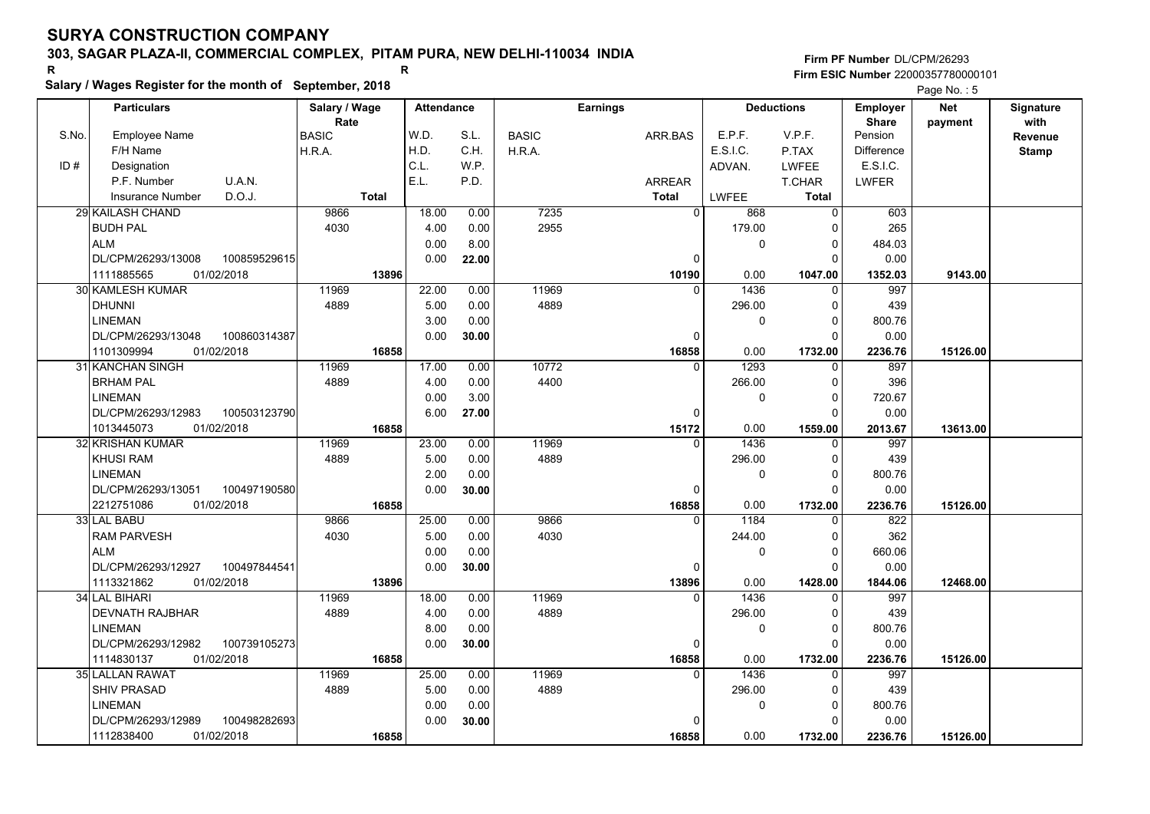# **Salary / Wages Register for the month of September, 2018 <sup>R</sup> <sup>R</sup>**

|       | Salary / wages Register for the month of September, 2018 |               |              |                   |       |              |                 |               |          |                   |                   | Page No.: 5 |              |
|-------|----------------------------------------------------------|---------------|--------------|-------------------|-------|--------------|-----------------|---------------|----------|-------------------|-------------------|-------------|--------------|
|       | <b>Particulars</b>                                       | Salary / Wage |              | <b>Attendance</b> |       |              | <b>Earnings</b> |               |          | <b>Deductions</b> | <b>Employer</b>   | <b>Net</b>  | Signature    |
|       |                                                          | Rate          |              |                   |       |              |                 |               |          |                   | <b>Share</b>      | payment     | with         |
| S.No. | <b>Employee Name</b>                                     | BASIC         |              | W.D.              | S.L.  | <b>BASIC</b> |                 | ARR.BAS       | E.P.F.   | V.P.F.            | Pension           |             | Revenue      |
|       | F/H Name                                                 | H.R.A.        |              | H.D.              | C.H.  | H.R.A.       |                 |               | E.S.I.C. | P.TAX             | <b>Difference</b> |             | <b>Stamp</b> |
| ID#   | Designation                                              |               |              | C.L.              | W.P.  |              |                 |               | ADVAN.   | <b>LWFEE</b>      | E.S.I.C.          |             |              |
|       | U.A.N.<br>P.F. Number                                    |               |              | E.L.              | P.D.  |              |                 | <b>ARREAR</b> |          | <b>T.CHAR</b>     | <b>LWFER</b>      |             |              |
|       | D.O.J.<br><b>Insurance Number</b>                        |               | <b>Total</b> |                   |       |              |                 | <b>Total</b>  | LWFEE    | <b>Total</b>      |                   |             |              |
|       | <b>29 KAILASH CHAND</b>                                  | 9866          |              | 18.00             | 0.00  | 7235         |                 | $\Omega$      | 868      | $\mathbf{0}$      | 603               |             |              |
|       | <b>BUDH PAL</b>                                          | 4030          |              | 4.00              | 0.00  | 2955         |                 |               | 179.00   | $\Omega$          | 265               |             |              |
|       | ALM                                                      |               |              | 0.00              | 8.00  |              |                 |               | 0        | $\Omega$          | 484.03            |             |              |
|       | DL/CPM/26293/13008<br>100859529615                       |               |              | 0.00              | 22.00 |              |                 | $\Omega$      |          | $\Omega$          | 0.00              |             |              |
|       | 1111885565<br>01/02/2018                                 |               | 13896        |                   |       |              |                 | 10190         | 0.00     | 1047.00           | 1352.03           | 9143.00     |              |
|       | 30 KAMLESH KUMAR                                         | 11969         |              | 22.00             | 0.00  | 11969        |                 | <sup>0</sup>  | 1436     | $\Omega$          | 997               |             |              |
|       | <b>DHUNNI</b>                                            | 4889          |              | 5.00              | 0.00  | 4889         |                 |               | 296.00   | 0                 | 439               |             |              |
|       | LINEMAN                                                  |               |              | 3.00              | 0.00  |              |                 |               | 0        | $\Omega$          | 800.76            |             |              |
|       | DL/CPM/26293/13048<br>100860314387                       |               |              | 0.00              | 30.00 |              |                 | $\Omega$      |          | $\Omega$          | 0.00              |             |              |
|       | 01/02/2018<br>1101309994                                 |               | 16858        |                   |       |              |                 | 16858         | 0.00     | 1732.00           | 2236.76           | 15126.00    |              |
|       | 31 KANCHAN SINGH                                         | 11969         |              | 17.00             | 0.00  | 10772        |                 | 0             | 1293     | 0                 | 897               |             |              |
|       | <b>BRHAM PAL</b>                                         | 4889          |              | 4.00              | 0.00  | 4400         |                 |               | 266.00   | $\Omega$          | 396               |             |              |
|       | <b>LINEMAN</b>                                           |               |              | 0.00              | 3.00  |              |                 |               | 0        | $\Omega$          | 720.67            |             |              |
|       | DL/CPM/26293/12983<br>100503123790                       |               |              | 6.00              | 27.00 |              |                 | $\Omega$      |          | $\Omega$          | 0.00              |             |              |
|       | 1013445073<br>01/02/2018                                 |               | 16858        |                   |       |              |                 | 15172         | 0.00     | 1559.00           | 2013.67           | 13613.00    |              |
|       | <b>32 KRISHAN KUMAR</b>                                  | 11969         |              | 23.00             | 0.00  | 11969        |                 | $\Omega$      | 1436     | $\Omega$          | $\overline{997}$  |             |              |
|       | <b>KHUSI RAM</b>                                         | 4889          |              | 5.00              | 0.00  | 4889         |                 |               | 296.00   | $\Omega$          | 439               |             |              |
|       | <b>LINEMAN</b>                                           |               |              | 2.00              | 0.00  |              |                 |               | 0        | 0                 | 800.76            |             |              |
|       | 100497190580<br>DL/CPM/26293/13051                       |               |              | 0.00              | 30.00 |              |                 | $\Omega$      |          | $\Omega$          | 0.00              |             |              |
|       | 2212751086<br>01/02/2018                                 |               | 16858        |                   |       |              |                 | 16858         | 0.00     | 1732.00           | 2236.76           | 15126.00    |              |
|       | 33 LAL BABU                                              | 9866          |              | 25.00             | 0.00  | 9866         |                 | 0             | 1184     | $\Omega$          | 822               |             |              |
|       | <b>RAM PARVESH</b>                                       | 4030          |              | 5.00              | 0.00  | 4030         |                 |               | 244.00   | $\Omega$          | 362               |             |              |
|       | <b>ALM</b>                                               |               |              | 0.00              | 0.00  |              |                 |               | 0        | $\Omega$          | 660.06            |             |              |
|       | DL/CPM/26293/12927<br>100497844541                       |               |              | 0.00              | 30.00 |              |                 | 0             |          | $\Omega$          | 0.00              |             |              |
|       | 1113321862<br>01/02/2018                                 |               | 13896        |                   |       |              |                 | 13896         | 0.00     | 1428.00           | 1844.06           | 12468.00    |              |
|       | 34 LAL BIHARI                                            | 11969         |              | 18.00             | 0.00  | 11969        |                 | 0             | 1436     | 0                 | 997               |             |              |
|       | DEVNATH RAJBHAR                                          | 4889          |              | 4.00              | 0.00  | 4889         |                 |               | 296.00   | $\Omega$          | 439               |             |              |
|       | LINEMAN                                                  |               |              | 8.00              | 0.00  |              |                 |               | 0        | $\Omega$          | 800.76            |             |              |
|       | DL/CPM/26293/12982<br>100739105273                       |               |              | 0.00              | 30.00 |              |                 | $\Omega$      |          | $\Omega$          | 0.00              |             |              |
|       | 1114830137<br>01/02/2018                                 |               | 16858        |                   |       |              |                 | 16858         | 0.00     | 1732.00           | 2236.76           | 15126.00    |              |
|       | 35 LALLAN RAWAT                                          | 11969         |              | 25.00             | 0.00  | 11969        |                 | $\Omega$      | 1436     | $\Omega$          | 997               |             |              |
|       | <b>SHIV PRASAD</b>                                       | 4889          |              | 5.00              | 0.00  | 4889         |                 |               | 296.00   | $\Omega$          | 439               |             |              |
|       | LINEMAN                                                  |               |              | 0.00              | 0.00  |              |                 |               | 0        | $\Omega$          | 800.76            |             |              |
|       | DL/CPM/26293/12989<br>100498282693                       |               |              | 0.00              | 30.00 |              |                 |               |          | $\Omega$          | 0.00              |             |              |
|       | 1112838400<br>01/02/2018                                 |               | 16858        |                   |       |              |                 | 16858         | 0.00     | 1732.00           | 2236.76           | 15126.00    |              |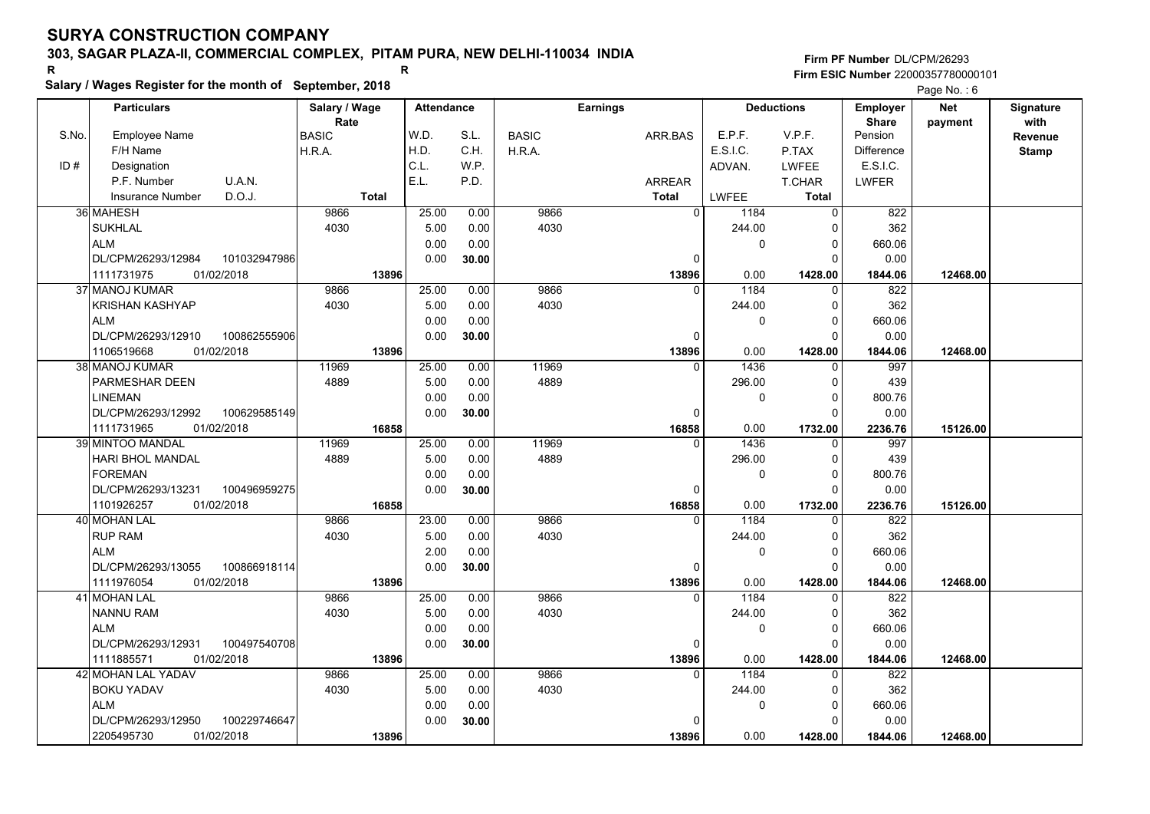**Salary / Wages Register for the month of September, 2018 <sup>R</sup> <sup>R</sup>**

|       | Salary / Wages Register for the month of September, 2018 |                      |       |                   |              |              |                 |                   |              |                      |                         | Page No.: 6 |                  |
|-------|----------------------------------------------------------|----------------------|-------|-------------------|--------------|--------------|-----------------|-------------------|--------------|----------------------|-------------------------|-------------|------------------|
|       | <b>Particulars</b>                                       | Salary / Wage        |       | <b>Attendance</b> |              |              | <b>Earnings</b> |                   |              | <b>Deductions</b>    | <b>Employer</b>         | <b>Net</b>  | <b>Signature</b> |
| S.No. | <b>Employee Name</b>                                     | Rate<br><b>BASIC</b> |       | W.D.              | S.L.         |              |                 |                   | E.P.F.       | V.P.F.               | <b>Share</b><br>Pension | payment     | with             |
|       | F/H Name                                                 |                      |       | H.D.              | C.H.         | <b>BASIC</b> | ARR.BAS         |                   | E.S.I.C.     | P.TAX                | <b>Difference</b>       |             | Revenue          |
| ID#   |                                                          | H.R.A.               |       | C.L.              | W.P.         | H.R.A.       |                 |                   |              |                      | E.S.I.C.                |             | <b>Stamp</b>     |
|       | Designation<br>P.F. Number                               |                      |       | E.L.              | P.D.         |              |                 |                   | ADVAN.       | <b>LWFEE</b>         |                         |             |                  |
|       | U.A.N.                                                   |                      | Total |                   |              |              | <b>ARREAR</b>   |                   |              | <b>T.CHAR</b>        | <b>LWFER</b>            |             |                  |
|       | D.O.J.<br><b>Insurance Number</b>                        |                      |       |                   |              |              | <b>Total</b>    |                   | <b>LWFEE</b> | <b>Total</b>         |                         |             |                  |
|       | 36 MAHESH                                                | 9866<br>4030         |       | 25.00<br>5.00     | 0.00<br>0.00 | 9866<br>4030 |                 | $\overline{0}$    | 1184         | $\Omega$             | 822<br>362              |             |                  |
|       | <b>SUKHLAL</b>                                           |                      |       |                   |              |              |                 |                   | 244.00       |                      |                         |             |                  |
|       | <b>ALM</b><br>DL/CPM/26293/12984<br>101032947986         |                      |       | 0.00              | 0.00         |              |                 | $\Omega$          | 0            | $\Omega$<br>$\Omega$ | 660.06<br>0.00          |             |                  |
|       |                                                          |                      |       | 0.00              | 30.00        |              |                 |                   |              |                      |                         |             |                  |
|       | 1111731975<br>01/02/2018                                 |                      | 13896 |                   |              |              |                 | 13896             | 0.00         | 1428.00              | 1844.06                 | 12468.00    |                  |
|       | 37 MANOJ KUMAR                                           | 9866                 |       | 25.00             | 0.00         | 9866         |                 | $\Omega$          | 1184         | $\Omega$             | 822                     |             |                  |
|       | KRISHAN KASHYAP                                          | 4030                 |       | 5.00              | 0.00         | 4030         |                 |                   | 244.00       | $\Omega$             | 362                     |             |                  |
|       | <b>ALM</b>                                               |                      |       | 0.00              | 0.00         |              |                 |                   | 0            | $\Omega$             | 660.06                  |             |                  |
|       | DL/CPM/26293/12910<br>100862555906                       |                      |       | 0.00              | 30.00        |              |                 | $\Omega$          |              | O                    | 0.00                    |             |                  |
|       | 1106519668<br>01/02/2018                                 |                      | 13896 |                   |              |              |                 | 13896             | 0.00         | 1428.00              | 1844.06                 | 12468.00    |                  |
|       | 38 MANOJ KUMAR                                           | 11969                |       | 25.00             | 0.00         | 11969        |                 | $\Omega$          | 1436         | $\mathbf{0}$         | 997                     |             |                  |
|       | PARMESHAR DEEN                                           | 4889                 |       | 5.00              | 0.00         | 4889         |                 |                   | 296.00       | $\Omega$             | 439                     |             |                  |
|       | LINEMAN                                                  |                      |       | 0.00              | 0.00         |              |                 |                   | 0            | $\Omega$             | 800.76                  |             |                  |
|       | DL/CPM/26293/12992<br>100629585149                       |                      |       | 0.00              | 30.00        |              |                 | $\Omega$          |              | n                    | 0.00                    |             |                  |
|       | 1111731965<br>01/02/2018                                 |                      | 16858 |                   |              |              |                 | 16858             | 0.00         | 1732.00              | 2236.76                 | 15126.00    |                  |
|       | 39 MINTOO MANDAL                                         | 11969                |       | 25.00             | 0.00         | 11969        |                 | $\Omega$          | 1436         |                      | 997                     |             |                  |
|       | HARI BHOL MANDAL                                         | 4889                 |       | 5.00              | 0.00         | 4889         |                 |                   | 296.00       | $\Omega$             | 439                     |             |                  |
|       | <b>FOREMAN</b>                                           |                      |       | 0.00              | 0.00         |              |                 |                   | 0            | $\Omega$             | 800.76                  |             |                  |
|       | DL/CPM/26293/13231<br>100496959275                       |                      |       | 0.00              | 30.00        |              |                 | 0                 |              | $\Omega$             | 0.00                    |             |                  |
|       | 01/02/2018<br>1101926257                                 |                      | 16858 |                   |              | 9866         |                 | 16858<br>$\Omega$ | 0.00         | 1732.00<br>$\Omega$  | 2236.76                 | 15126.00    |                  |
|       | <b>40 MOHAN LAL</b>                                      | 9866                 |       | 23.00<br>5.00     | 0.00<br>0.00 | 4030         |                 |                   | 1184         | $\Omega$             | 822<br>362              |             |                  |
|       | <b>RUP RAM</b><br><b>ALM</b>                             | 4030                 |       |                   | 0.00         |              |                 |                   | 244.00       | O                    |                         |             |                  |
|       | DL/CPM/26293/13055<br>100866918114                       |                      |       | 2.00<br>0.00      |              |              |                 | 0                 | 0            | n                    | 660.06<br>0.00          |             |                  |
|       |                                                          |                      |       |                   | 30.00        |              |                 |                   |              |                      |                         |             |                  |
|       | 1111976054<br>01/02/2018<br>41 MOHAN LAL                 | 9866                 | 13896 | 25.00             | 0.00         | 9866         |                 | 13896<br>0        | 0.00<br>1184 | 1428.00              | 1844.06<br>822          | 12468.00    |                  |
|       |                                                          |                      |       |                   |              |              |                 |                   |              | 0<br>$\Omega$        | 362                     |             |                  |
|       | <b>NANNU RAM</b><br><b>ALM</b>                           | 4030                 |       | 5.00<br>0.00      | 0.00         | 4030         |                 |                   | 244.00<br>0  | $\Omega$             |                         |             |                  |
|       |                                                          |                      |       |                   | 0.00         |              |                 | $\Omega$          |              |                      | 660.06                  |             |                  |
|       | DL/CPM/26293/12931<br>100497540708                       |                      |       | 0.00              | 30.00        |              |                 |                   |              |                      | 0.00                    |             |                  |
|       | 1111885571<br>01/02/2018                                 |                      | 13896 |                   |              | 9866         |                 | 13896<br>U        | 0.00<br>1184 | 1428.00              | 1844.06                 | 12468.00    |                  |
|       | 42 MOHAN LAL YADAV                                       | 9866                 |       | 25.00             | 0.00         |              |                 |                   |              | $\Omega$             | 822<br>362              |             |                  |
|       | <b>BOKU YADAV</b>                                        | 4030                 |       | 5.00              | 0.00         | 4030         |                 |                   | 244.00       |                      |                         |             |                  |
|       | <b>ALM</b>                                               |                      |       | 0.00              | 0.00         |              |                 |                   | 0            | $\Omega$             | 660.06                  |             |                  |
|       | 100229746647<br>DL/CPM/26293/12950                       |                      |       | 0.00              | 30.00        |              |                 |                   |              |                      | 0.00                    |             |                  |
|       | 2205495730<br>01/02/2018                                 |                      | 13896 |                   |              |              |                 | 13896             | 0.00         | 1428.00              | 1844.06                 | 12468.00    |                  |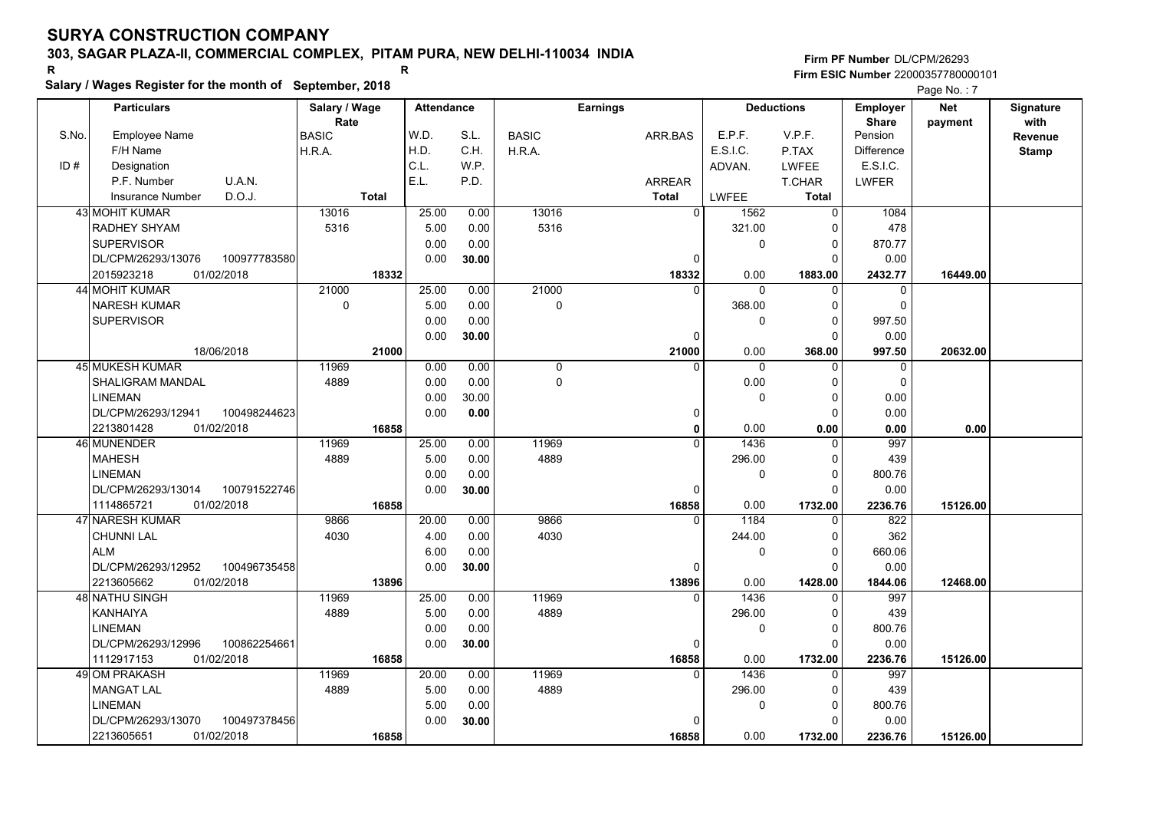# **Salary / Wages Register for the month of September, 2018 <sup>R</sup> <sup>R</sup>**

|       | Salary / wages Register for the month of September, 2018 |                     |              |                   |       |              |                 |                |          |                   |                   | Page No.: 7 |              |
|-------|----------------------------------------------------------|---------------------|--------------|-------------------|-------|--------------|-----------------|----------------|----------|-------------------|-------------------|-------------|--------------|
|       | <b>Particulars</b>                                       | Salary / Wage       |              | <b>Attendance</b> |       |              | <b>Earnings</b> |                |          | <b>Deductions</b> | <b>Employer</b>   | <b>Net</b>  | Signature    |
|       |                                                          | Rate                |              |                   |       |              |                 |                |          |                   | <b>Share</b>      | payment     | with         |
| S.No. | <b>Employee Name</b>                                     | <b>BASIC</b>        |              | W.D.              | S.L.  | <b>BASIC</b> |                 | ARR.BAS        | E.P.F.   | V.P.F.            | Pension           |             | Revenue      |
|       | F/H Name                                                 | H.R.A.              |              | H.D.              | C.H.  | H.R.A.       |                 |                | E.S.I.C. | P.TAX             | <b>Difference</b> |             | <b>Stamp</b> |
| ID#   | Designation                                              |                     |              | C.L.              | W.P.  |              |                 |                | ADVAN.   | <b>LWFEE</b>      | E.S.I.C.          |             |              |
|       | U.A.N.<br>P.F. Number                                    |                     |              | E.L.              | P.D.  |              |                 | <b>ARREAR</b>  |          | T.CHAR            | <b>LWFER</b>      |             |              |
|       | D.O.J.<br><b>Insurance Number</b>                        |                     | <b>Total</b> |                   |       |              |                 | <b>Total</b>   | LWFEE    | <b>Total</b>      |                   |             |              |
|       | <b>43 MOHIT KUMAR</b>                                    | 13016               |              | 25.00             | 0.00  | 13016        |                 | $\overline{0}$ | 1562     | $\Omega$          | 1084              |             |              |
|       | RADHEY SHYAM                                             | 5316                |              | 5.00              | 0.00  | 5316         |                 |                | 321.00   | C                 | 478               |             |              |
|       | <b>SUPERVISOR</b>                                        |                     |              | 0.00              | 0.00  |              |                 |                | 0        | 0                 | 870.77            |             |              |
|       | 100977783580<br>DL/CPM/26293/13076                       |                     |              | 0.00              | 30.00 |              |                 | 0              |          | ŋ                 | 0.00              |             |              |
|       | 2015923218<br>01/02/2018                                 |                     | 18332        |                   |       |              |                 | 18332          | 0.00     | 1883.00           | 2432.77           | 16449.00    |              |
|       | 44 MOHIT KUMAR                                           | 21000               |              | 25.00             | 0.00  | 21000        |                 | $\Omega$       | $\Omega$ | $\Omega$          | $\Omega$          |             |              |
|       | <b>NARESH KUMAR</b>                                      | $\mathsf{O}\xspace$ |              | 5.00              | 0.00  | 0            |                 |                | 368.00   | $\Omega$          | $\mathbf 0$       |             |              |
|       | <b>SUPERVISOR</b>                                        |                     |              | 0.00              | 0.00  |              |                 |                | 0        | ŋ                 | 997.50            |             |              |
|       |                                                          |                     |              | 0.00              | 30.00 |              |                 | $\Omega$       |          |                   | 0.00              |             |              |
|       | 18/06/2018                                               |                     | 21000        |                   |       |              |                 | 21000          | 0.00     | 368.00            | 997.50            | 20632.00    |              |
|       | 45 MUKESH KUMAR                                          | 11969               |              | 0.00              | 0.00  | 0            |                 | $\Omega$       | 0        | $\Omega$          | 0                 |             |              |
|       | SHALIGRAM MANDAL                                         | 4889                |              | 0.00              | 0.00  | $\mathbf 0$  |                 |                | 0.00     | $\Omega$          | $\mathbf 0$       |             |              |
|       | <b>LINEMAN</b>                                           |                     |              | 0.00              | 30.00 |              |                 |                | $\Omega$ | $\Omega$          | 0.00              |             |              |
|       | DL/CPM/26293/12941<br>100498244623                       |                     |              | 0.00              | 0.00  |              |                 | $\Omega$       |          | $\Omega$          | 0.00              |             |              |
|       | 2213801428<br>01/02/2018                                 |                     | 16858        |                   |       |              |                 | 0              | 0.00     | 0.00              | 0.00              | 0.00        |              |
|       | 46 MUNENDER                                              | 11969               |              | 25.00             | 0.00  | 11969        |                 | $\Omega$       | 1436     | $\Omega$          | 997               |             |              |
|       | <b>MAHESH</b>                                            | 4889                |              | 5.00              | 0.00  | 4889         |                 |                | 296.00   |                   | 439               |             |              |
|       | <b>LINEMAN</b>                                           |                     |              | 0.00              | 0.00  |              |                 |                | 0        | $\Omega$          | 800.76            |             |              |
|       | DL/CPM/26293/13014<br>100791522746                       |                     |              | 0.00              | 30.00 |              |                 | $\mathbf{0}$   |          | $\Omega$          | 0.00              |             |              |
|       | 1114865721<br>01/02/2018                                 |                     | 16858        |                   |       |              |                 | 16858          | 0.00     | 1732.00           | 2236.76           | 15126.00    |              |
|       | 47 NARESH KUMAR                                          | 9866                |              | 20.00             | 0.00  | 9866         |                 | 0              | 1184     | $\Omega$          | 822               |             |              |
|       | <b>CHUNNI LAL</b>                                        | 4030                |              | 4.00              | 0.00  | 4030         |                 |                | 244.00   | $\Omega$          | 362               |             |              |
|       | <b>ALM</b>                                               |                     |              | 6.00              | 0.00  |              |                 |                | 0        | ∩                 | 660.06            |             |              |
|       | DL/CPM/26293/12952<br>100496735458                       |                     |              | 0.00              | 30.00 |              |                 | 0              |          | ∩                 | 0.00              |             |              |
|       | 2213605662<br>01/02/2018                                 |                     | 13896        |                   |       |              |                 | 13896          | 0.00     | 1428.00           | 1844.06           | 12468.00    |              |
|       | <b>48 NATHU SINGH</b>                                    | 11969               |              | 25.00             | 0.00  | 11969        |                 | $\Omega$       | 1436     | $\Omega$          | 997               |             |              |
|       | KANHAIYA                                                 | 4889                |              | 5.00              | 0.00  | 4889         |                 |                | 296.00   | ∩                 | 439               |             |              |
|       | <b>LINEMAN</b>                                           |                     |              | 0.00              | 0.00  |              |                 |                | 0        | 0                 | 800.76            |             |              |
|       | DL/CPM/26293/12996<br>100862254661                       |                     |              | 0.00              | 30.00 |              |                 | $\Omega$       |          | ŋ                 | 0.00              |             |              |
|       | 1112917153<br>01/02/2018                                 |                     | 16858        |                   |       |              |                 | 16858          | 0.00     | 1732.00           | 2236.76           | 15126.00    |              |
|       | 49 OM PRAKASH                                            | 11969               |              | 20.00             | 0.00  | 11969        |                 | $\Omega$       | 1436     |                   | 997               |             |              |
|       | <b>MANGAT LAL</b>                                        | 4889                |              | 5.00              | 0.00  | 4889         |                 |                | 296.00   | ŋ                 | 439               |             |              |
|       | <b>LINEMAN</b>                                           |                     |              | 5.00              | 0.00  |              |                 |                | 0        | $\Omega$          | 800.76            |             |              |
|       | 100497378456<br>DL/CPM/26293/13070                       |                     |              | 0.00              | 30.00 |              |                 | $\Omega$       |          |                   | 0.00              |             |              |
|       | 01/02/2018<br>2213605651                                 |                     | 16858        |                   |       |              |                 | 16858          | 0.00     | 1732.00           | 2236.76           | 15126.00    |              |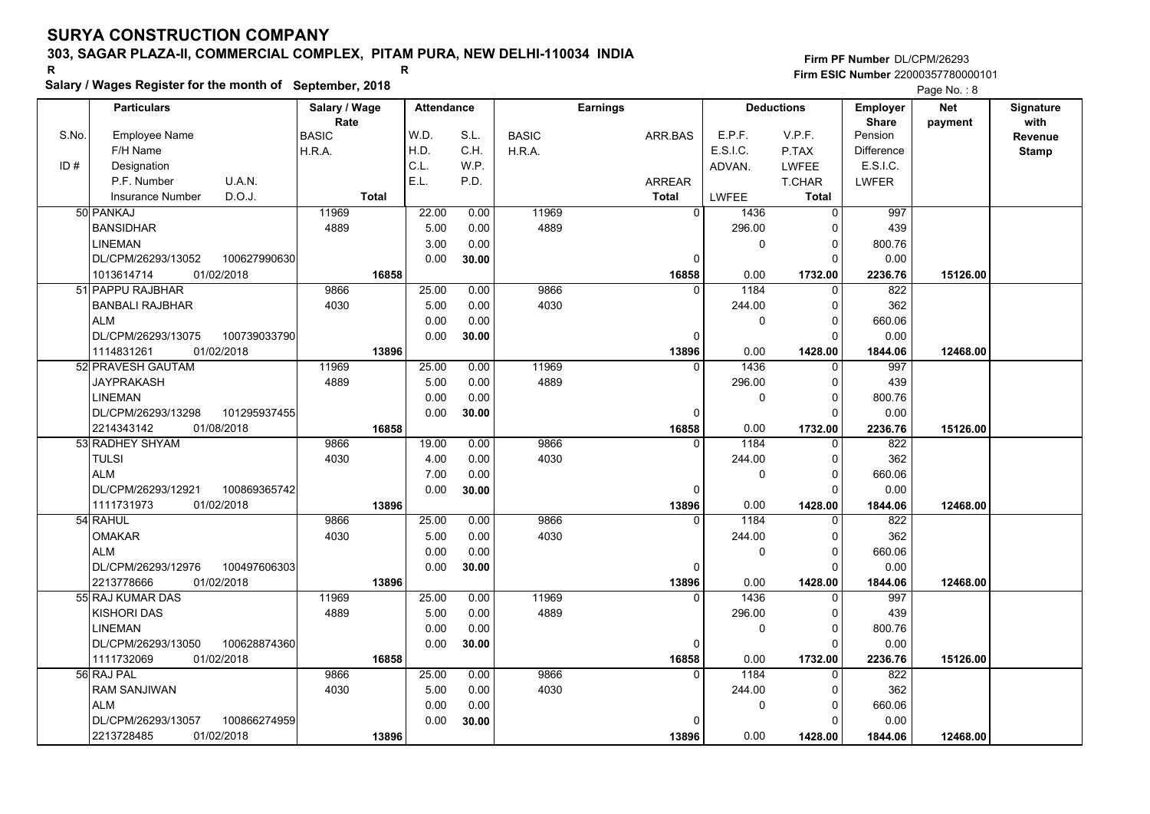# **Salary / Wages Register for the month of September, 2018 <sup>R</sup> <sup>R</sup>**

|       | Salary / wages Register for the month of September, 2018 |               |       |                   |              |                 |                |          |                   |                   | Page No.: 8 |              |
|-------|----------------------------------------------------------|---------------|-------|-------------------|--------------|-----------------|----------------|----------|-------------------|-------------------|-------------|--------------|
|       | <b>Particulars</b>                                       | Salary / Wage |       | <b>Attendance</b> |              | <b>Earnings</b> |                |          | <b>Deductions</b> | <b>Employer</b>   | <b>Net</b>  | Signature    |
|       |                                                          | Rate          |       |                   |              |                 |                |          |                   | <b>Share</b>      | payment     | with         |
| S.No. | <b>Employee Name</b>                                     | <b>BASIC</b>  | W.D.  | S.L.              | <b>BASIC</b> |                 | ARR.BAS        | E.P.F.   | V.P.F.            | Pension           |             | Revenue      |
|       | F/H Name                                                 | H.R.A.        | H.D.  | C.H.              | H.R.A.       |                 |                | E.S.I.C. | P.TAX             | <b>Difference</b> |             | <b>Stamp</b> |
| ID#   | Designation                                              |               | C.L.  | W.P.              |              |                 |                | ADVAN.   | <b>LWFEE</b>      | E.S.I.C.          |             |              |
|       | U.A.N.<br>P.F. Number                                    |               | E.L.  | P.D.              |              |                 | <b>ARREAR</b>  |          | T.CHAR            | <b>LWFER</b>      |             |              |
|       | D.O.J.<br><b>Insurance Number</b>                        | <b>Total</b>  |       |                   |              |                 | <b>Total</b>   | LWFEE    | <b>Total</b>      |                   |             |              |
|       | 50 PANKAJ                                                | 11969         | 22.00 | 0.00              | 11969        |                 | $\overline{0}$ | 1436     | $\Omega$          | 997               |             |              |
|       | <b>BANSIDHAR</b>                                         | 4889          | 5.00  | 0.00              | 4889         |                 |                | 296.00   | C                 | 439               |             |              |
|       | <b>LINEMAN</b>                                           |               | 3.00  | 0.00              |              |                 |                | 0        | $\mathbf 0$       | 800.76            |             |              |
|       | DL/CPM/26293/13052<br>100627990630                       |               | 0.00  | 30.00             |              |                 | 0              |          | ŋ                 | 0.00              |             |              |
|       | 1013614714<br>01/02/2018                                 | 16858         |       |                   |              |                 | 16858          | 0.00     | 1732.00           | 2236.76           | 15126.00    |              |
|       | 51 PAPPU RAJBHAR                                         | 9866          | 25.00 | 0.00              | 9866         |                 | $\Omega$       | 1184     | $\Omega$          | 822               |             |              |
|       | <b>BANBALI RAJBHAR</b>                                   | 4030          | 5.00  | 0.00              | 4030         |                 |                | 244.00   | $\Omega$          | 362               |             |              |
|       | <b>ALM</b>                                               |               | 0.00  | 0.00              |              |                 |                | 0        | ŋ                 | 660.06            |             |              |
|       | DL/CPM/26293/13075<br>100739033790                       |               | 0.00  | 30.00             |              |                 | $\Omega$       |          |                   | 0.00              |             |              |
|       | 01/02/2018<br>1114831261                                 | 13896         |       |                   |              |                 | 13896          | 0.00     | 1428.00           | 1844.06           | 12468.00    |              |
|       | 52 PRAVESH GAUTAM                                        | 11969         | 25.00 | 0.00              | 11969        |                 | $\Omega$       | 1436     | $\Omega$          | 997               |             |              |
|       | JAYPRAKASH                                               | 4889          | 5.00  | 0.00              | 4889         |                 |                | 296.00   | $\Omega$          | 439               |             |              |
|       | <b>LINEMAN</b>                                           |               | 0.00  | 0.00              |              |                 |                | 0        | $\Omega$          | 800.76            |             |              |
|       | DL/CPM/26293/13298<br>101295937455                       |               | 0.00  | 30.00             |              |                 | $\Omega$       |          | $\Omega$          | 0.00              |             |              |
|       | 2214343142<br>01/08/2018                                 | 16858         |       |                   |              |                 | 16858          | 0.00     | 1732.00           | 2236.76           | 15126.00    |              |
|       | 53 RADHEY SHYAM                                          | 9866          | 19.00 | 0.00              | 9866         |                 | $\Omega$       | 1184     | $\Omega$          | 822               |             |              |
|       | <b>TULSI</b>                                             | 4030          | 4.00  | 0.00              | 4030         |                 |                | 244.00   | $\Omega$          | 362               |             |              |
|       | <b>ALM</b>                                               |               | 7.00  | 0.00              |              |                 |                | 0        | $\Omega$          | 660.06            |             |              |
|       | DL/CPM/26293/12921<br>100869365742                       |               | 0.00  | 30.00             |              |                 | $\mathbf{0}$   |          | C                 | 0.00              |             |              |
|       | 1111731973<br>01/02/2018                                 | 13896         |       |                   |              |                 | 13896          | 0.00     | 1428.00           | 1844.06           | 12468.00    |              |
|       | 54 RAHUL                                                 | 9866          | 25.00 | 0.00              | 9866         |                 | 0              | 1184     | $\Omega$          | 822               |             |              |
|       | <b>OMAKAR</b>                                            | 4030          | 5.00  | 0.00              | 4030         |                 |                | 244.00   | $\Omega$          | 362               |             |              |
|       | <b>ALM</b>                                               |               | 0.00  | 0.00              |              |                 |                | 0        | ∩                 | 660.06            |             |              |
|       | DL/CPM/26293/12976<br>100497606303                       |               | 0.00  | 30.00             |              |                 | 0              |          | ∩                 | 0.00              |             |              |
|       | 01/02/2018<br>2213778666                                 | 13896         |       |                   |              |                 | 13896          | 0.00     | 1428.00           | 1844.06           | 12468.00    |              |
|       | 55 RAJ KUMAR DAS                                         | 11969         | 25.00 | 0.00              | 11969        |                 | $\Omega$       | 1436     | $\Omega$          | 997               |             |              |
|       | <b>KISHORI DAS</b>                                       | 4889          | 5.00  | 0.00              | 4889         |                 |                | 296.00   | $\Omega$          | 439               |             |              |
|       | <b>LINEMAN</b>                                           |               | 0.00  | 0.00              |              |                 |                | 0        | 0                 | 800.76            |             |              |
|       | DL/CPM/26293/13050<br>100628874360                       |               | 0.00  | 30.00             |              |                 | $\Omega$       |          | ŋ                 | 0.00              |             |              |
|       | 1111732069<br>01/02/2018                                 | 16858         |       |                   |              |                 | 16858          | 0.00     | 1732.00           | 2236.76           | 15126.00    |              |
|       | 56 RAJ PAL                                               | 9866          | 25.00 | 0.00              | 9866         |                 | $\Omega$       | 1184     |                   | 822               |             |              |
|       | <b>RAM SANJIWAN</b>                                      | 4030          | 5.00  | 0.00              | 4030         |                 |                | 244.00   | ŋ                 | 362               |             |              |
|       | <b>ALM</b>                                               |               | 0.00  | 0.00              |              |                 |                | 0        | $\Omega$          | 660.06            |             |              |
|       | 100866274959<br>DL/CPM/26293/13057                       |               | 0.00  | 30.00             |              |                 | $\Omega$       |          |                   | 0.00              |             |              |
|       | 01/02/2018<br>2213728485                                 | 13896         |       |                   |              |                 | 13896          | 0.00     | 1428.00           | 1844.06           | 12468.00    |              |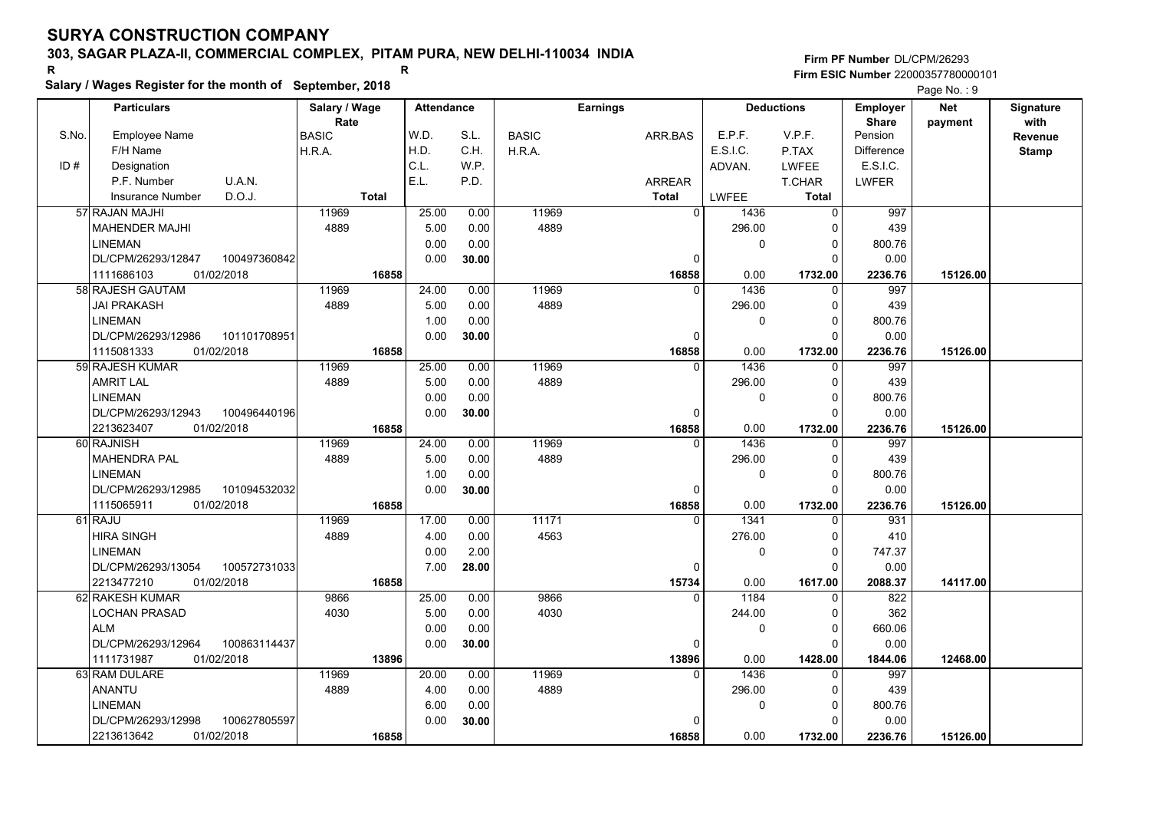# **Salary / Wages Register for the month of September, 2018 <sup>R</sup> <sup>R</sup>**

**Firm PF Number**DL/CPM/26293**Firm ESIC Number** 22000357780000101

Page No. : 9

|       | <b>Particulars</b>                 | Salary / Wage | <b>Attendance</b> |       |              | <b>Earnings</b> |                |              | <b>Deductions</b> | <b>Employer</b>   | <b>Net</b> | <b>Signature</b> |
|-------|------------------------------------|---------------|-------------------|-------|--------------|-----------------|----------------|--------------|-------------------|-------------------|------------|------------------|
|       |                                    | Rate          |                   |       |              |                 |                |              |                   | <b>Share</b>      | payment    | with             |
| S.No. | <b>Employee Name</b>               | <b>BASIC</b>  | W.D.              | S.L.  | <b>BASIC</b> | ARR.BAS         |                | E.P.F.       | V.P.F.            | Pension           |            | Revenue          |
|       | F/H Name                           | H.R.A.        | H.D.              | C.H.  | H.R.A.       |                 |                | E.S.I.C.     | P.TAX             | <b>Difference</b> |            | <b>Stamp</b>     |
| ID#   | Designation                        |               | C.L.              | W.P.  |              |                 |                | ADVAN.       | <b>LWFEE</b>      | E.S.I.C.          |            |                  |
|       | U.A.N.<br>P.F. Number              |               | E.L.              | P.D.  |              | <b>ARREAR</b>   |                |              | <b>T.CHAR</b>     | <b>LWFER</b>      |            |                  |
|       | D.O.J.<br><b>Insurance Number</b>  | <b>Total</b>  |                   |       |              | <b>Total</b>    |                | <b>LWFEE</b> | Total             |                   |            |                  |
|       | 57 RAJAN MAJHI                     | 11969         | 25.00             | 0.00  | 11969        |                 | $\overline{0}$ | 1436         | $\Omega$          | 997               |            |                  |
|       | <b>MAHENDER MAJHI</b>              | 4889          | 5.00              | 0.00  | 4889         |                 |                | 296.00       | 0                 | 439               |            |                  |
|       | <b>LINEMAN</b>                     |               | 0.00              | 0.00  |              |                 |                | 0            | $\Omega$          | 800.76            |            |                  |
|       | DL/CPM/26293/12847<br>100497360842 |               | 0.00              | 30.00 |              |                 | $\mathbf 0$    |              | $\Omega$          | 0.00              |            |                  |
|       | 1111686103<br>01/02/2018           | 16858         |                   |       |              |                 | 16858          | 0.00         | 1732.00           | 2236.76           | 15126.00   |                  |
|       | 58 RAJESH GAUTAM                   | 11969         | 24.00             | 0.00  | 11969        |                 | $\Omega$       | 1436         | $\Omega$          | 997               |            |                  |
|       | <b>JAI PRAKASH</b>                 | 4889          | 5.00              | 0.00  | 4889         |                 |                | 296.00       | <sup>0</sup>      | 439               |            |                  |
|       | <b>LINEMAN</b>                     |               | 1.00              | 0.00  |              |                 |                | 0            | $\mathbf 0$       | 800.76            |            |                  |
|       | DL/CPM/26293/12986<br>101101708951 |               | 0.00              | 30.00 |              |                 | $\Omega$       |              | $\Omega$          | 0.00              |            |                  |
|       | 1115081333<br>01/02/2018           | 16858         |                   |       |              |                 | 16858          | 0.00         | 1732.00           | 2236.76           | 15126.00   |                  |
|       | 59 RAJESH KUMAR                    | 11969         | 25.00             | 0.00  | 11969        |                 | $\Omega$       | 1436         | O                 | 997               |            |                  |
|       | <b>AMRIT LAL</b>                   | 4889          | 5.00              | 0.00  | 4889         |                 |                | 296.00       | 0                 | 439               |            |                  |
|       | <b>LINEMAN</b>                     |               | 0.00              | 0.00  |              |                 |                | 0            | $\Omega$          | 800.76            |            |                  |
|       | 100496440196<br>DL/CPM/26293/12943 |               | 0.00              | 30.00 |              |                 | $\mathbf 0$    |              | C                 | 0.00              |            |                  |
|       | 2213623407<br>01/02/2018           | 16858         |                   |       |              |                 | 16858          | 0.00         | 1732.00           | 2236.76           | 15126.00   |                  |
|       | 60 RAJNISH                         | 11969         | 24.00             | 0.00  | 11969        |                 | $\Omega$       | 1436         | 0                 | 997               |            |                  |
|       | <b>MAHENDRA PAL</b>                | 4889          | 5.00              | 0.00  | 4889         |                 |                | 296.00       | $\Omega$          | 439               |            |                  |
|       | <b>LINEMAN</b>                     |               | 1.00              | 0.00  |              |                 |                | 0            | $\Omega$          | 800.76            |            |                  |
|       | DL/CPM/26293/12985<br>101094532032 |               | 0.00              | 30.00 |              |                 | $\mathbf 0$    |              | $\Omega$          | 0.00              |            |                  |
|       | 1115065911<br>01/02/2018           | 16858         |                   |       |              |                 | 16858          | 0.00         | 1732.00           | 2236.76           | 15126.00   |                  |
|       | 61 RAJU                            | 11969         | 17.00             | 0.00  | 11171        |                 | $\Omega$       | 1341         |                   | 931               |            |                  |
|       | <b>HIRA SINGH</b>                  | 4889          | 4.00              | 0.00  | 4563         |                 |                | 276.00       | $\Omega$          | 410               |            |                  |
|       | <b>LINEMAN</b>                     |               | 0.00              | 2.00  |              |                 |                | 0            | $\Omega$          | 747.37            |            |                  |
|       | DL/CPM/26293/13054<br>100572731033 |               | 7.00              | 28.00 |              |                 | $\mathbf 0$    |              | $\Omega$          | 0.00              |            |                  |
|       | 2213477210<br>01/02/2018           | 16858         |                   |       |              |                 | 15734          | 0.00         | 1617.00           | 2088.37           | 14117.00   |                  |
|       | 62 RAKESH KUMAR                    | 9866          | 25.00             | 0.00  | 9866         |                 | $\Omega$       | 1184         |                   | 822               |            |                  |
|       | <b>LOCHAN PRASAD</b>               | 4030          | 5.00              | 0.00  | 4030         |                 |                | 244.00       | $\Omega$          | 362               |            |                  |
|       | <b>ALM</b>                         |               | 0.00              | 0.00  |              |                 |                | 0            | $\Omega$          | 660.06            |            |                  |
|       | 100863114437<br>DL/CPM/26293/12964 |               | 0.00              | 30.00 |              |                 | $\mathbf 0$    |              | $\Omega$          | 0.00              |            |                  |
|       | 1111731987<br>01/02/2018           | 13896         |                   |       |              |                 | 13896          | 0.00         | 1428.00           | 1844.06           | 12468.00   |                  |
|       | 63 RAM DULARE                      | 11969         | 20.00             | 0.00  | 11969        |                 | $\Omega$       | 1436         | $\Omega$          | 997               |            |                  |
|       | <b>ANANTU</b>                      | 4889          | 4.00              | 0.00  | 4889         |                 |                | 296.00       | $\Omega$          | 439               |            |                  |
|       | <b>LINEMAN</b>                     |               | 6.00              | 0.00  |              |                 |                | 0            | 0                 | 800.76            |            |                  |
|       | DL/CPM/26293/12998<br>100627805597 |               | 0.00              | 30.00 |              |                 | 0              |              | C                 | 0.00              |            |                  |
|       | 2213613642<br>01/02/2018           | 16858         |                   |       |              |                 | 16858          | 0.00         | 1732.00           | 2236.76           | 15126.00   |                  |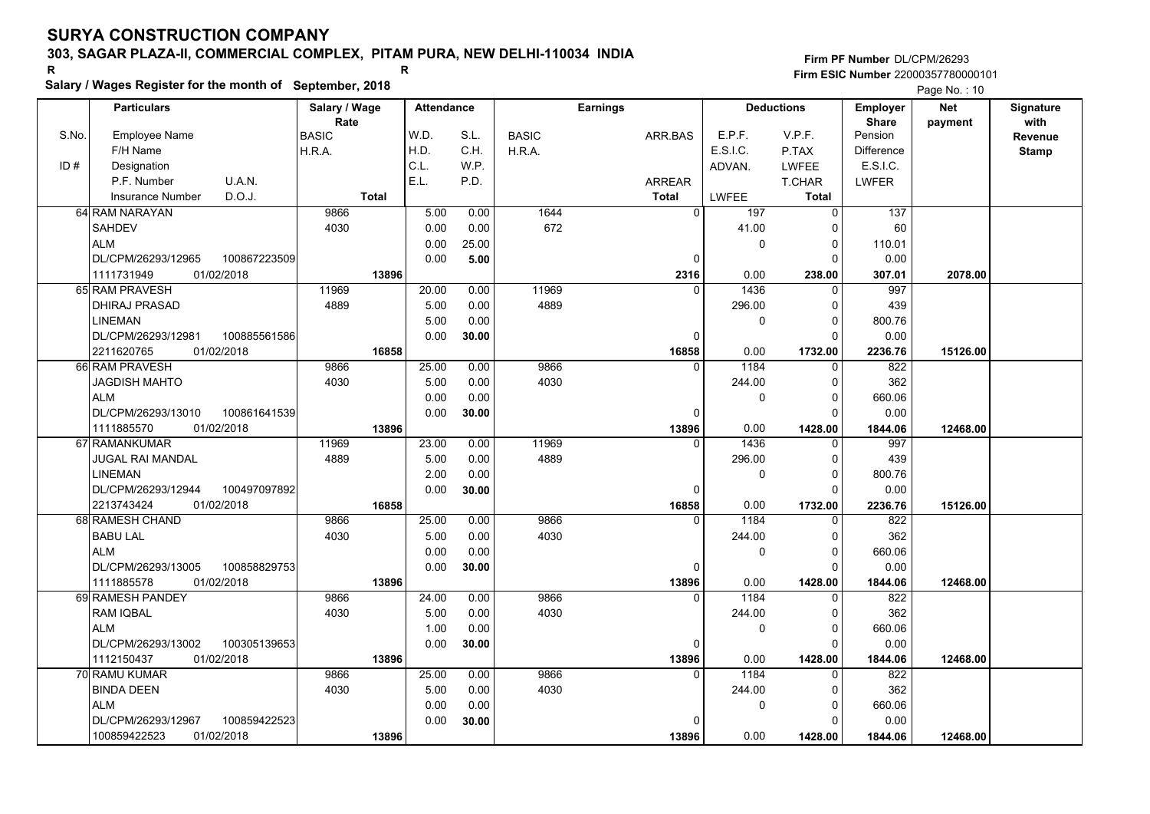**Firm PF Number**DL/CPM/26293**Firm ESIC Number** 22000357780000101

**Salary / Wages Register for the month of September, 2018 <sup>R</sup> <sup>R</sup> Net** Page No.: 10

|       | <b>Particulars</b>                                               | Salary / Wage        |              | <b>Attendance</b> |       |              | <b>Earnings</b> |              | <b>Deductions</b> | <b>Employer</b>         | <b>Net</b> | <b>Signature</b> |
|-------|------------------------------------------------------------------|----------------------|--------------|-------------------|-------|--------------|-----------------|--------------|-------------------|-------------------------|------------|------------------|
| S.No. | <b>Employee Name</b>                                             | Rate<br><b>BASIC</b> |              | W.D.              | S.L.  | <b>BASIC</b> | ARR.BAS         | E.P.F.       | V.P.F.            | <b>Share</b><br>Pension | payment    | with             |
|       | F/H Name                                                         | H.R.A.               |              | H.D.              | C.H.  | H.R.A.       |                 | E.S.I.C.     | P.TAX             | <b>Difference</b>       |            | Revenue          |
| ID#   | Designation                                                      |                      |              | C.L.              | W.P.  |              |                 | ADVAN.       | <b>LWFEE</b>      | E.S.I.C.                |            | <b>Stamp</b>     |
|       | U.A.N.<br>P.F. Number                                            |                      |              | E.L.              | P.D.  |              | <b>ARREAR</b>   |              | T.CHAR            | <b>LWFER</b>            |            |                  |
|       | D.O.J.<br><b>Insurance Number</b>                                |                      | <b>Total</b> |                   |       |              | <b>Total</b>    | <b>LWFEE</b> | Total             |                         |            |                  |
|       | 64 RAM NARAYAN                                                   | 9866                 |              | 5.00              | 0.00  | 1644         | $\overline{0}$  | 197          | $\overline{0}$    | $\overline{137}$        |            |                  |
|       | <b>SAHDEV</b>                                                    | 4030                 |              | 0.00              | 0.00  | 672          |                 | 41.00        | $\Omega$          | 60                      |            |                  |
|       | <b>ALM</b>                                                       |                      |              | 0.00              | 25.00 |              |                 | 0            | $\Omega$          | 110.01                  |            |                  |
|       | DL/CPM/26293/12965<br>100867223509                               |                      |              | 0.00              | 5.00  |              | $\mathbf 0$     |              | $\Omega$          | 0.00                    |            |                  |
|       | 01/02/2018<br>1111731949                                         |                      | 13896        |                   |       |              | 2316            | 0.00         | 238.00            | 307.01                  | 2078.00    |                  |
|       | 65 RAM PRAVESH                                                   | 11969                |              | 20.00             | 0.00  | 11969        | $\Omega$        | 1436         | $\Omega$          | 997                     |            |                  |
|       | <b>DHIRAJ PRASAD</b>                                             | 4889                 |              | 5.00              | 0.00  | 4889         |                 | 296.00       | $\Omega$          | 439                     |            |                  |
|       | <b>LINEMAN</b>                                                   |                      |              | 5.00              | 0.00  |              |                 | 0            | $\Omega$          | 800.76                  |            |                  |
|       | DL/CPM/26293/12981<br>100885561586                               |                      |              | 0.00              | 30.00 |              | $\mathbf 0$     |              | $\Omega$          | 0.00                    |            |                  |
|       | 2211620765<br>01/02/2018                                         |                      | 16858        |                   |       |              | 16858           | 0.00         | 1732.00           | 2236.76                 | 15126.00   |                  |
|       | 66 RAM PRAVESH                                                   | 9866                 |              | 25.00             | 0.00  | 9866         | $\Omega$        | 1184         | $\Omega$          | 822                     |            |                  |
|       | JAGDISH MAHTO                                                    | 4030                 |              | 5.00              | 0.00  | 4030         |                 | 244.00       | $\Omega$          | 362                     |            |                  |
|       | <b>ALM</b>                                                       |                      |              | 0.00              | 0.00  |              |                 | 0            | $\mathbf 0$       | 660.06                  |            |                  |
|       | DL/CPM/26293/13010<br>100861641539                               |                      |              | 0.00              | 30.00 |              | $\mathbf 0$     |              | $\Omega$          | 0.00                    |            |                  |
|       | 01/02/2018<br>1111885570                                         |                      | 13896        |                   |       |              | 13896           | 0.00         | 1428.00           | 1844.06                 | 12468.00   |                  |
|       | 67 RAMANKUMAR                                                    | 11969                |              | 23.00             | 0.00  | 11969        | $\Omega$        | 1436         | $\Omega$          | 997                     |            |                  |
|       | JUGAL RAI MANDAL                                                 | 4889                 |              | 5.00              | 0.00  | 4889         |                 | 296.00       | 0                 | 439                     |            |                  |
|       | <b>LINEMAN</b>                                                   |                      |              | 2.00              | 0.00  |              |                 | $\Omega$     | $\Omega$          | 800.76                  |            |                  |
|       | DL/CPM/26293/12944<br>100497097892                               |                      |              | 0.00              | 30.00 |              | $\Omega$        |              | $\Omega$          | 0.00                    |            |                  |
|       | 2213743424<br>01/02/2018                                         |                      | 16858        |                   |       |              | 16858           | 0.00         | 1732.00           | 2236.76                 | 15126.00   |                  |
|       | 68 RAMESH CHAND                                                  | 9866                 |              | 25.00             | 0.00  | 9866         | $\Omega$        | 1184         | $\Omega$          | 822                     |            |                  |
|       | <b>BABU LAL</b>                                                  | 4030                 |              | 5.00              | 0.00  | 4030         |                 | 244.00       | 0                 | 362                     |            |                  |
|       | <b>ALM</b>                                                       |                      |              | 0.00              | 0.00  |              |                 | 0            | $\Omega$          | 660.06                  |            |                  |
|       | DL/CPM/26293/13005<br>100858829753                               |                      |              | 0.00              | 30.00 |              | $\mathbf 0$     |              | $\Omega$          | 0.00                    |            |                  |
|       | 1111885578<br>01/02/2018                                         |                      | 13896        |                   |       |              | 13896           | 0.00         | 1428.00           | 1844.06                 | 12468.00   |                  |
|       | 69 RAMESH PANDEY                                                 | 9866                 |              | 24.00             | 0.00  | 9866         | $\Omega$        | 1184         | $\mathbf{0}$      | 822                     |            |                  |
|       | <b>RAM IQBAL</b>                                                 | 4030                 |              | 5.00              | 0.00  | 4030         |                 | 244.00       | $\Omega$          | 362                     |            |                  |
|       | <b>ALM</b>                                                       |                      |              | 1.00              | 0.00  |              |                 | $\Omega$     | $\Omega$          | 660.06                  |            |                  |
|       | DL/CPM/26293/13002<br>100305139653                               |                      |              | 0.00              | 30.00 |              | $\Omega$        |              | $\Omega$          | 0.00                    |            |                  |
|       | 1112150437<br>01/02/2018                                         |                      | 13896        |                   |       |              | 13896           | 0.00         | 1428.00           | 1844.06                 | 12468.00   |                  |
|       | 70 RAMU KUMAR                                                    | 9866                 |              | 25.00             | 0.00  | 9866         | $\Omega$        | 1184         | $\mathbf 0$       | 822                     |            |                  |
|       | <b>BINDA DEEN</b>                                                | 4030                 |              | 5.00              | 0.00  | 4030         |                 | 244.00       | $\Omega$          | 362                     |            |                  |
|       | <b>ALM</b>                                                       |                      |              | 0.00              | 0.00  |              |                 | 0            | $\Omega$          | 660.06                  |            |                  |
|       | DL/CPM/26293/12967<br>100859422523<br>100859422523<br>01/02/2018 |                      |              | 0.00              | 30.00 |              | 0               | 0.00         | $\Omega$          | 0.00                    |            |                  |
|       |                                                                  |                      | 13896        |                   |       |              | 13896           |              | 1428.00           | 1844.06                 | 12468.00   |                  |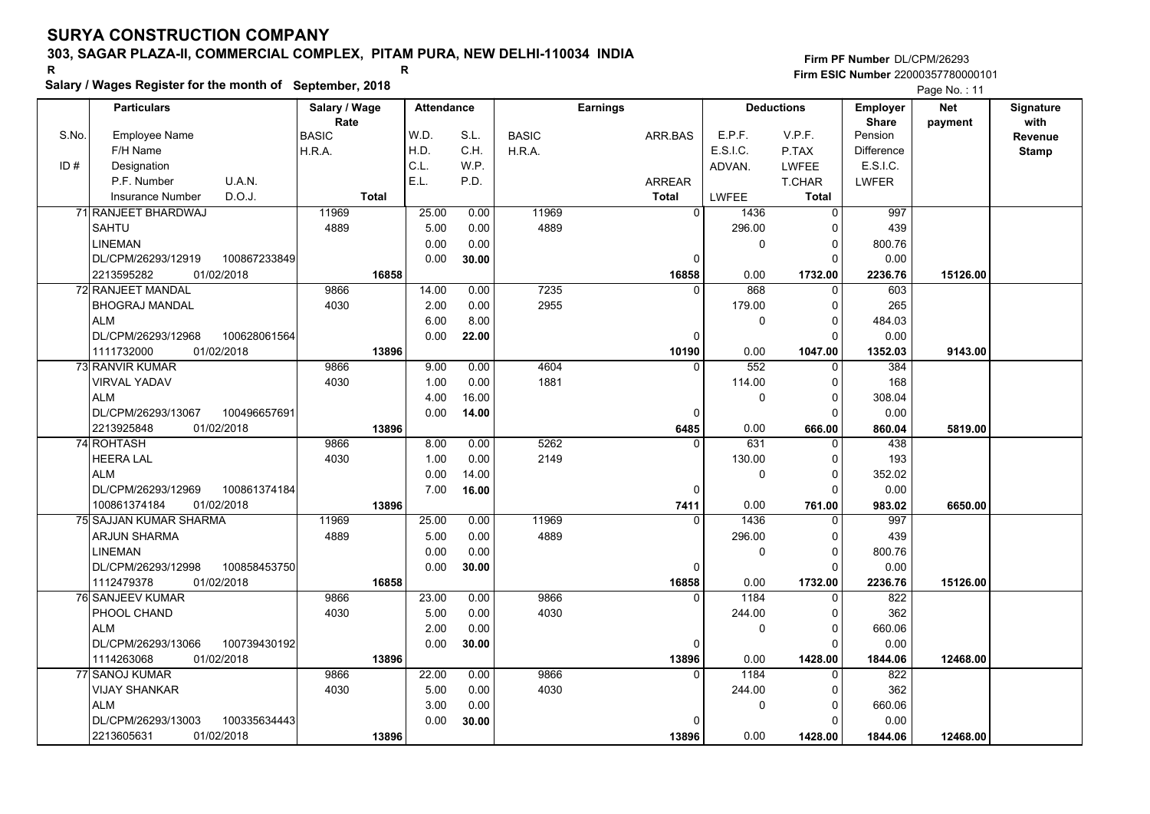# **Salary / Wages Register for the month of September, 2018 <sup>R</sup> <sup>R</sup>**

|       | Salary / wages Register for the month of September, 2018 |               |                   |       |              |                 |                |          |                   |                   | Page No.: 11 |              |
|-------|----------------------------------------------------------|---------------|-------------------|-------|--------------|-----------------|----------------|----------|-------------------|-------------------|--------------|--------------|
|       | <b>Particulars</b>                                       | Salary / Wage | <b>Attendance</b> |       |              | <b>Earnings</b> |                |          | <b>Deductions</b> | <b>Employer</b>   | <b>Net</b>   | Signature    |
|       |                                                          | Rate          |                   |       |              |                 |                |          |                   | <b>Share</b>      | payment      | with         |
| S.No. | <b>Employee Name</b>                                     | <b>BASIC</b>  | W.D.              | S.L.  | <b>BASIC</b> |                 | ARR.BAS        | E.P.F.   | V.P.F.            | Pension           |              | Revenue      |
|       | F/H Name                                                 | H.R.A.        | H.D.              | C.H.  | H.R.A.       |                 |                | E.S.I.C. | P.TAX             | <b>Difference</b> |              | <b>Stamp</b> |
| ID#   | Designation                                              |               | C.L.              | W.P.  |              |                 |                | ADVAN.   | <b>LWFEE</b>      | E.S.I.C.          |              |              |
|       | U.A.N.<br>P.F. Number                                    |               | E.L.              | P.D.  |              |                 | <b>ARREAR</b>  |          | <b>T.CHAR</b>     | <b>LWFER</b>      |              |              |
|       | D.O.J.<br><b>Insurance Number</b>                        | <b>Total</b>  |                   |       |              |                 | <b>Total</b>   | LWFEE    | <b>Total</b>      |                   |              |              |
|       | 71 RANJEET BHARDWAJ                                      | 11969         | 25.00             | 0.00  | 11969        |                 | $\overline{0}$ | 1436     | $\mathbf 0$       | 997               |              |              |
|       | <b>SAHTU</b>                                             | 4889          | 5.00              | 0.00  | 4889         |                 |                | 296.00   | $\Omega$          | 439               |              |              |
|       | <b>LINEMAN</b>                                           |               | 0.00              | 0.00  |              |                 |                | 0        | $\mathbf 0$       | 800.76            |              |              |
|       | DL/CPM/26293/12919<br>100867233849                       |               | 0.00              | 30.00 |              |                 | 0              |          | $\Omega$          | 0.00              |              |              |
|       | 2213595282<br>01/02/2018                                 | 16858         |                   |       |              |                 | 16858          | 0.00     | 1732.00           | 2236.76           | 15126.00     |              |
|       | 72 RANJEET MANDAL                                        | 9866          | 14.00             | 0.00  | 7235         |                 | $\Omega$       | 868      | $\Omega$          | 603               |              |              |
|       | <b>BHOGRAJ MANDAL</b>                                    | 4030          | 2.00              | 0.00  | 2955         |                 |                | 179.00   | 0                 | 265               |              |              |
|       | <b>ALM</b>                                               |               | 6.00              | 8.00  |              |                 |                | 0        | $\Omega$          | 484.03            |              |              |
|       | DL/CPM/26293/12968<br>100628061564                       |               | 0.00              | 22.00 |              |                 | $\mathbf 0$    |          | $\Omega$          | 0.00              |              |              |
|       | 1111732000<br>01/02/2018                                 | 13896         |                   |       |              |                 | 10190          | 0.00     | 1047.00           | 1352.03           | 9143.00      |              |
|       | 73 RANVIR KUMAR                                          | 9866          | 9.00              | 0.00  | 4604         |                 | $\Omega$       | 552      | 0                 | 384               |              |              |
|       | <b>VIRVAL YADAV</b>                                      | 4030          | 1.00              | 0.00  | 1881         |                 |                | 114.00   | $\mathbf 0$       | 168               |              |              |
|       | <b>ALM</b>                                               |               | 4.00              | 16.00 |              |                 |                | 0        | $\Omega$          | 308.04            |              |              |
|       | DL/CPM/26293/13067<br>100496657691                       |               | 0.00              | 14.00 |              |                 | $\Omega$       |          | $\Omega$          | 0.00              |              |              |
|       | 2213925848<br>01/02/2018                                 | 13896         |                   |       |              |                 | 6485           | 0.00     | 666.00            | 860.04            | 5819.00      |              |
|       | 74 ROHTASH                                               | 9866          | 8.00              | 0.00  | 5262         |                 | $\overline{0}$ | 631      | $\Omega$          | 438               |              |              |
|       | <b>HEERA LAL</b>                                         | 4030          | 1.00              | 0.00  | 2149         |                 |                | 130.00   | $\Omega$          | 193               |              |              |
|       | <b>ALM</b>                                               |               | 0.00              | 14.00 |              |                 |                | 0        | $\mathbf 0$       | 352.02            |              |              |
|       | DL/CPM/26293/12969<br>100861374184                       |               | 7.00              | 16.00 |              |                 | 0              |          | $\Omega$          | 0.00              |              |              |
|       | 100861374184<br>01/02/2018                               | 13896         |                   |       |              |                 | 7411           | 0.00     | 761.00            | 983.02            | 6650.00      |              |
|       | 75 SAJJAN KUMAR SHARMA                                   | 11969         | 25.00             | 0.00  | 11969        |                 | $\Omega$       | 1436     | 0                 | 997               |              |              |
|       | <b>ARJUN SHARMA</b>                                      | 4889          | 5.00              | 0.00  | 4889         |                 |                | 296.00   | 0                 | 439               |              |              |
|       | <b>LINEMAN</b>                                           |               | 0.00              | 0.00  |              |                 |                | 0        | $\Omega$          | 800.76            |              |              |
|       | DL/CPM/26293/12998<br>100858453750                       |               | 0.00              | 30.00 |              |                 | 0              |          | $\mathbf 0$       | 0.00              |              |              |
|       | 1112479378<br>01/02/2018                                 | 16858         |                   |       |              |                 | 16858          | 0.00     | 1732.00           | 2236.76           | 15126.00     |              |
|       | 76 SANJEEV KUMAR                                         | 9866          | 23.00             | 0.00  | 9866         |                 | $\Omega$       | 1184     | 0                 | 822               |              |              |
|       | PHOOL CHAND                                              | 4030          | 5.00              | 0.00  | 4030         |                 |                | 244.00   | 0                 | 362               |              |              |
|       | <b>ALM</b>                                               |               | 2.00              | 0.00  |              |                 |                | 0        | $\mathbf 0$       | 660.06            |              |              |
|       | DL/CPM/26293/13066<br>100739430192                       |               | 0.00              | 30.00 |              |                 | $\Omega$       |          | $\Omega$          | 0.00              |              |              |
|       | 1114263068<br>01/02/2018                                 | 13896         |                   |       |              |                 | 13896          | 0.00     | 1428.00           | 1844.06           | 12468.00     |              |
|       | 77 SANOJ KUMAR                                           | 9866          | 22.00             | 0.00  | 9866         |                 | $\Omega$       | 1184     | $\Omega$          | 822               |              |              |
|       | <b>VIJAY SHANKAR</b>                                     | 4030          | 5.00              | 0.00  | 4030         |                 |                | 244.00   | $\Omega$          | 362               |              |              |
|       | <b>ALM</b>                                               |               | 3.00              | 0.00  |              |                 |                | 0        | 0                 | 660.06            |              |              |
|       | 100335634443<br>DL/CPM/26293/13003                       |               | 0.00              | 30.00 |              |                 | 0              |          | $\Omega$          | 0.00              |              |              |
|       | 01/02/2018<br>2213605631                                 | 13896         |                   |       |              |                 | 13896          | 0.00     | 1428.00           | 1844.06           | 12468.00     |              |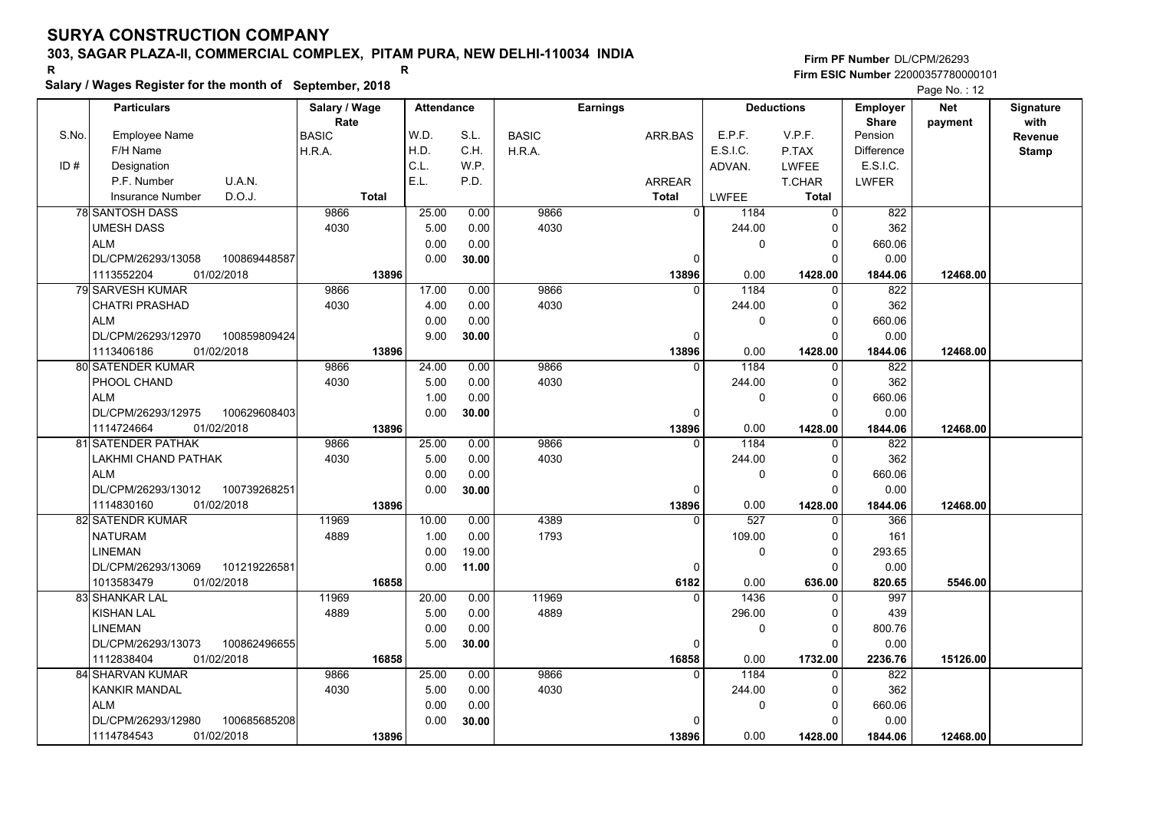**Salary / Wages Register for the month of September, 2018 <sup>R</sup> <sup>R</sup>**

**Firm PF Number**DL/CPM/26293**Firm ESIC Number** 22000357780000101

Page No. : 12

|       | <b>Particulars</b>                 | Salary / Wage        | <b>Attendance</b> |       |              | <b>Earnings</b> |                   |                  | <b>Deductions</b>   | <b>Employer</b>         | <b>Net</b> | <b>Signature</b> |
|-------|------------------------------------|----------------------|-------------------|-------|--------------|-----------------|-------------------|------------------|---------------------|-------------------------|------------|------------------|
| S.No. | Employee Name                      | Rate<br><b>BASIC</b> | W.D.              | S.L.  | <b>BASIC</b> | ARR.BAS         |                   | E.P.F.           | V.P.F.              | <b>Share</b><br>Pension | payment    | with<br>Revenue  |
|       | F/H Name                           | H.R.A.               | H.D.              | C.H.  |              |                 |                   | E.S.I.C.         | P.TAX               | <b>Difference</b>       |            |                  |
| ID#   | Designation                        |                      | C.L.              | W.P.  | H.R.A.       |                 |                   | ADVAN.           | <b>LWFEE</b>        | E.S.I.C.                |            | <b>Stamp</b>     |
|       | U.A.N.<br>P.F. Number              |                      | E.L.              | P.D.  |              |                 |                   |                  |                     |                         |            |                  |
|       |                                    |                      |                   |       |              | <b>ARREAR</b>   |                   |                  | <b>T.CHAR</b>       | <b>LWFER</b>            |            |                  |
|       | D.O.J.<br>Insurance Number         | <b>Total</b>         |                   |       |              | <b>Total</b>    |                   | LWFEE            | Total               |                         |            |                  |
|       | <b>78 SANTOSH DASS</b>             | 9866                 | 25.00             | 0.00  | 9866         |                 | $\overline{0}$    | 1184             | $\mathbf 0$         | 822                     |            |                  |
|       | <b>UMESH DASS</b>                  | 4030                 | 5.00              | 0.00  | 4030         |                 |                   | 244.00           | 0                   | 362                     |            |                  |
|       | <b>ALM</b>                         |                      | 0.00              | 0.00  |              |                 |                   | $\Omega$         | $\mathbf 0$         | 660.06                  |            |                  |
|       | DL/CPM/26293/13058<br>100869448587 |                      | 0.00              | 30.00 |              |                 | $\Omega$          |                  | $\Omega$            | 0.00                    |            |                  |
|       | 1113552204<br>01/02/2018           | 13896                |                   |       |              |                 | 13896             | 0.00             | 1428.00             | 1844.06                 | 12468.00   |                  |
|       | 79 SARVESH KUMAR                   | 9866                 | 17.00             | 0.00  | 9866         |                 | $\Omega$          | 1184             | $\Omega$            | 822                     |            |                  |
|       | <b>CHATRI PRASHAD</b>              | 4030                 | 4.00              | 0.00  | 4030         |                 |                   | 244.00           | $\Omega$            | 362                     |            |                  |
|       | <b>ALM</b>                         |                      | 0.00              | 0.00  |              |                 |                   | 0                | $\Omega$            | 660.06                  |            |                  |
|       | DL/CPM/26293/12970<br>100859809424 |                      | 9.00              | 30.00 |              |                 | $\Omega$          |                  | $\Omega$            | 0.00                    |            |                  |
|       | 1113406186<br>01/02/2018           | 13896                |                   |       |              |                 | 13896             | 0.00             | 1428.00             | 1844.06                 | 12468.00   |                  |
|       | 80 SATENDER KUMAR                  | 9866                 | 24.00             | 0.00  | 9866         |                 | $\Omega$          | 1184             | $\Omega$            | 822                     |            |                  |
|       | PHOOL CHAND                        | 4030                 | 5.00              | 0.00  | 4030         |                 |                   | 244.00           | 0                   | 362                     |            |                  |
|       | <b>ALM</b>                         |                      | 1.00              | 0.00  |              |                 |                   | 0                | $\Omega$            | 660.06                  |            |                  |
|       | 100629608403<br>DL/CPM/26293/12975 |                      | 0.00              | 30.00 |              |                 | $\Omega$          |                  | $\Omega$            | 0.00                    |            |                  |
|       | 1114724664<br>01/02/2018           | 13896                |                   |       |              |                 | 13896             | 0.00             | 1428.00             | 1844.06                 | 12468.00   |                  |
|       | 81 SATENDER PATHAK                 | 9866                 | 25.00             | 0.00  | 9866         |                 | $\Omega$          | 1184             | 0                   | 822                     |            |                  |
|       | LAKHMI CHAND PATHAK                | 4030                 | 5.00              | 0.00  | 4030         |                 |                   | 244.00           | $\Omega$            | 362                     |            |                  |
|       | <b>ALM</b>                         |                      | 0.00              | 0.00  |              |                 |                   | 0                | $\Omega$            | 660.06                  |            |                  |
|       | DL/CPM/26293/13012<br>100739268251 |                      | 0.00              | 30.00 |              |                 | 0                 |                  | $\Omega$            | 0.00                    |            |                  |
|       | 1114830160<br>01/02/2018           | 13896                |                   |       |              |                 | 13896             | 0.00             | 1428.00             | 1844.06                 | 12468.00   |                  |
|       | 82 SATENDR KUMAR                   | 11969                | 10.00             | 0.00  | 4389         |                 | U                 | $\overline{527}$ | $\Omega$            | 366                     |            |                  |
|       | <b>NATURAM</b>                     | 4889                 | 1.00              | 0.00  | 1793         |                 |                   | 109.00           | $\Omega$            | 161                     |            |                  |
|       | <b>LINEMAN</b>                     |                      | 0.00              | 19.00 |              |                 |                   | 0                | $\Omega$            | 293.65                  |            |                  |
|       | DL/CPM/26293/13069<br>101219226581 |                      | 0.00              | 11.00 |              |                 | 0                 |                  | $\Omega$            | 0.00                    |            |                  |
|       | 1013583479<br>01/02/2018           | 16858                |                   |       |              |                 | 6182              | 0.00             | 636.00              | 820.65                  | 5546.00    |                  |
|       | 83 SHANKAR LAL                     | 11969                | 20.00             | 0.00  | 11969        |                 | 0                 | 1436             | $\Omega$            | 997                     |            |                  |
|       | <b>KISHAN LAL</b>                  | 4889                 | 5.00              | 0.00  | 4889         |                 |                   | 296.00           | $\Omega$            | 439                     |            |                  |
|       | LINEMAN                            |                      | 0.00              | 0.00  |              |                 |                   | 0                | $\Omega$            | 800.76                  |            |                  |
|       |                                    |                      | 5.00              |       |              |                 |                   |                  | $\Omega$            | 0.00                    |            |                  |
|       | DL/CPM/26293/13073<br>100862496655 |                      |                   | 30.00 |              |                 | 0                 |                  |                     |                         |            |                  |
|       | 01/02/2018<br>1112838404           | 16858<br>9866        | 25.00             |       | 9866         |                 | 16858<br>$\Omega$ | 0.00<br>1184     | 1732.00<br>$\Omega$ | 2236.76                 | 15126.00   |                  |
|       | 84 SHARVAN KUMAR                   |                      |                   | 0.00  |              |                 |                   |                  |                     | 822                     |            |                  |
|       | KANKIR MANDAL                      | 4030                 | 5.00              | 0.00  | 4030         |                 |                   | 244.00           | $\Omega$            | 362                     |            |                  |
|       | <b>ALM</b>                         |                      | 0.00              | 0.00  |              |                 |                   | 0                | $\mathbf 0$         | 660.06                  |            |                  |
|       | DL/CPM/26293/12980<br>100685685208 |                      | 0.00              | 30.00 |              |                 | 0                 |                  | $\Omega$            | 0.00                    |            |                  |
|       | 1114784543<br>01/02/2018           | 13896                |                   |       |              |                 | 13896             | 0.00             | 1428.00             | 1844.06                 | 12468.00   |                  |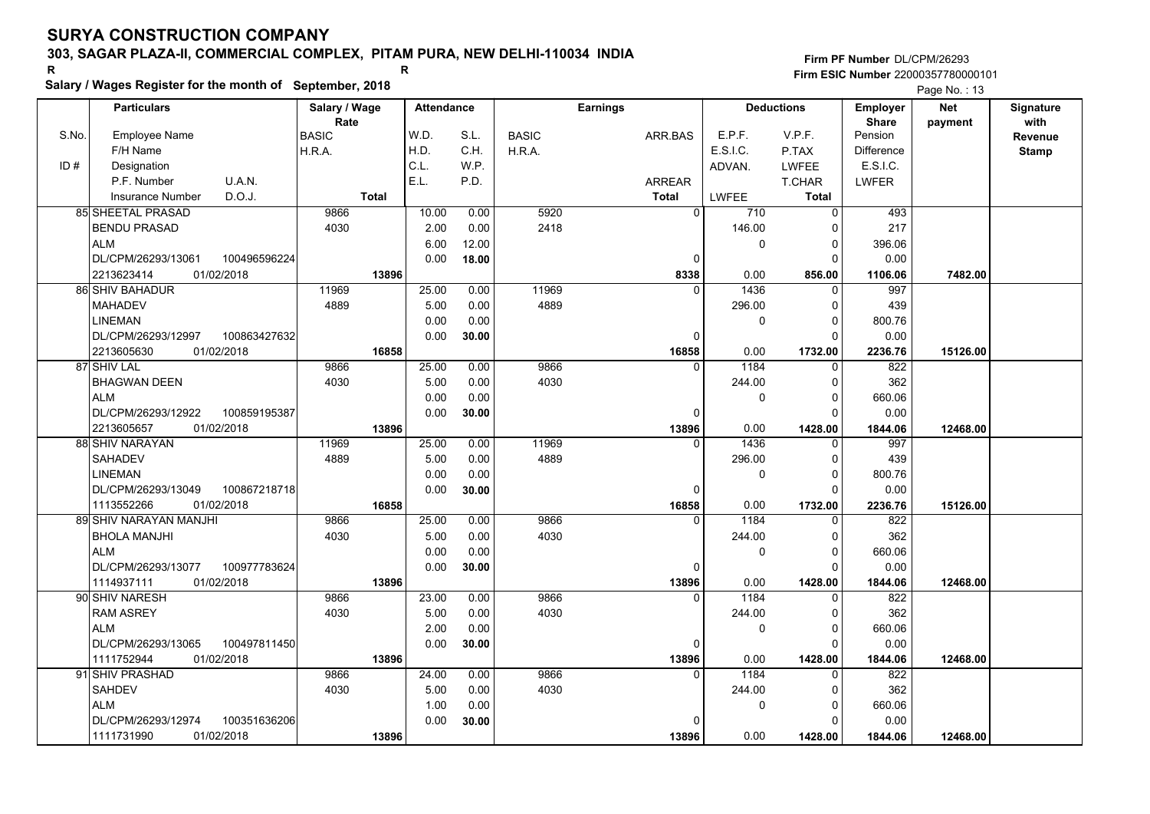# **Salary / Wages Register for the month of September, 2018 <sup>R</sup> <sup>R</sup>**

|       | Salary / wages Register for the month of September, 2018 |               |       |                   |              |                 |                  |                   |              | Page No.: 13 |              |  |  |
|-------|----------------------------------------------------------|---------------|-------|-------------------|--------------|-----------------|------------------|-------------------|--------------|--------------|--------------|--|--|
|       | <b>Particulars</b>                                       | Salary / Wage |       | <b>Attendance</b> |              | <b>Earnings</b> |                  | <b>Deductions</b> |              | <b>Net</b>   | Signature    |  |  |
|       |                                                          | Rate          |       |                   |              |                 |                  |                   | <b>Share</b> | payment      | with         |  |  |
| S.No. | <b>Employee Name</b>                                     | <b>BASIC</b>  | W.D.  | S.L.              | <b>BASIC</b> | ARR.BAS         | E.P.F.           | V.P.F.            | Pension      |              | Revenue      |  |  |
|       | F/H Name                                                 | H.R.A.        | H.D.  | C.H.              | H.R.A.       |                 | E.S.I.C.         | P.TAX             | Difference   |              | <b>Stamp</b> |  |  |
| ID#   | Designation                                              |               | C.L.  | W.P.              |              |                 | ADVAN.           | <b>LWFEE</b>      | E.S.I.C.     |              |              |  |  |
|       | U.A.N.<br>P.F. Number                                    |               | E.L.  | P.D.              |              | <b>ARREAR</b>   |                  | T.CHAR            | <b>LWFER</b> |              |              |  |  |
|       | D.O.J.<br>Insurance Number                               | <b>Total</b>  |       |                   |              | <b>Total</b>    | LWFEE            | <b>Total</b>      |              |              |              |  |  |
|       | <b>85 SHEETAL PRASAD</b>                                 | 9866          | 10.00 | 0.00              | 5920         |                 | $\Omega$<br>710  | $\mathbf{0}$      | 493          |              |              |  |  |
|       | <b>BENDU PRASAD</b>                                      | 4030          | 2.00  | 0.00              | 2418         |                 | 146.00           | $\Omega$          | 217          |              |              |  |  |
|       | <b>ALM</b>                                               |               | 6.00  | 12.00             |              |                 | 0                | $\mathbf 0$       | 396.06       |              |              |  |  |
|       | DL/CPM/26293/13061<br>100496596224                       |               | 0.00  | 18.00             |              | $\Omega$        |                  | $\Omega$          | 0.00         |              |              |  |  |
|       | 01/02/2018<br>2213623414                                 | 13896         |       |                   |              | 8338            | 0.00             | 856.00            | 1106.06      | 7482.00      |              |  |  |
|       | 86 SHIV BAHADUR                                          | 11969         | 25.00 | 0.00              | 11969        | $\Omega$        | 1436             | $\Omega$          | 997          |              |              |  |  |
|       | <b>MAHADEV</b>                                           | 4889          | 5.00  | 0.00              | 4889         |                 | 296.00           | 0                 | 439          |              |              |  |  |
|       | <b>LINEMAN</b>                                           |               | 0.00  | 0.00              |              |                 | 0                | $\mathbf 0$       | 800.76       |              |              |  |  |
|       | DL/CPM/26293/12997<br>100863427632                       |               | 0.00  | 30.00             |              | 0               |                  | $\Omega$          | 0.00         |              |              |  |  |
|       | 2213605630<br>01/02/2018                                 | 16858         |       |                   |              | 16858           | 0.00             | 1732.00           | 2236.76      | 15126.00     |              |  |  |
|       | 87 SHIV LAL                                              | 9866          | 25.00 | 0.00              | 9866         | $\Omega$        | 1184             | 0                 | 822          |              |              |  |  |
|       | <b>BHAGWAN DEEN</b>                                      | 4030          | 5.00  | 0.00              | 4030         |                 | 244.00           | $\mathbf 0$       | 362          |              |              |  |  |
|       | <b>ALM</b>                                               |               | 0.00  | 0.00              |              |                 | 0                | $\Omega$          | 660.06       |              |              |  |  |
|       | 100859195387<br>DL/CPM/26293/12922                       |               | 0.00  | 30.00             |              | $\Omega$        |                  | $\Omega$          | 0.00         |              |              |  |  |
|       | 2213605657<br>01/02/2018                                 | 13896         |       |                   |              | 13896           | 0.00             | 1428.00           | 1844.06      | 12468.00     |              |  |  |
|       | 88 SHIV NARAYAN                                          | 11969         | 25.00 | 0.00              | 11969        |                 | 1436<br>$\Omega$ | $\Omega$          | 997          |              |              |  |  |
|       | <b>SAHADEV</b>                                           | 4889          | 5.00  | 0.00              | 4889         |                 | 296.00           | $\Omega$          | 439          |              |              |  |  |
|       | <b>LINEMAN</b>                                           |               | 0.00  | 0.00              |              |                 | 0                | $\mathbf 0$       | 800.76       |              |              |  |  |
|       | DL/CPM/26293/13049<br>100867218718                       |               | 0.00  | 30.00             |              | $\Omega$        |                  | $\Omega$          | 0.00         |              |              |  |  |
|       | 1113552266<br>01/02/2018                                 | 16858         |       |                   |              | 16858           | 0.00             | 1732.00           | 2236.76      | 15126.00     |              |  |  |
|       | 89 SHIV NARAYAN MANJHI                                   | 9866          | 25.00 | 0.00              | 9866         | $\Omega$        | 1184             | $\mathbf{0}$      | 822          |              |              |  |  |
|       | <b>BHOLA MANJHI</b>                                      | 4030          | 5.00  | 0.00              | 4030         |                 | 244.00           | $\mathbf 0$       | 362          |              |              |  |  |
|       | <b>ALM</b>                                               |               | 0.00  | 0.00              |              |                 | 0                | $\Omega$          | 660.06       |              |              |  |  |
|       | DL/CPM/26293/13077<br>100977783624                       |               | 0.00  | 30.00             |              | 0               |                  | $\Omega$          | 0.00         |              |              |  |  |
|       | 01/02/2018<br>1114937111                                 | 13896         |       |                   |              | 13896           | 0.00             | 1428.00           | 1844.06      | 12468.00     |              |  |  |
|       | 90 SHIV NARESH                                           | 9866          | 23.00 | 0.00              | 9866         |                 | 1184<br>0        | $\mathbf 0$       | 822          |              |              |  |  |
|       | <b>RAM ASREY</b>                                         | 4030          | 5.00  | 0.00              | 4030         |                 | 244.00           | $\Omega$          | 362          |              |              |  |  |
|       | <b>ALM</b>                                               |               | 2.00  | 0.00              |              |                 | 0                | $\mathbf 0$       | 660.06       |              |              |  |  |
|       | DL/CPM/26293/13065<br>100497811450                       |               | 0.00  | 30.00             |              | $\Omega$        |                  | $\Omega$          | 0.00         |              |              |  |  |
|       | 1111752944<br>01/02/2018                                 | 13896         |       |                   |              | 13896           | 0.00             | 1428.00           | 1844.06      | 12468.00     |              |  |  |
|       | 91 SHIV PRASHAD                                          | 9866          | 24.00 | 0.00              | 9866         |                 | 1184<br>$\Omega$ | $\Omega$          | 822          |              |              |  |  |
|       | <b>SAHDEV</b>                                            | 4030          | 5.00  | 0.00              | 4030         |                 | 244.00           | $\Omega$          | 362          |              |              |  |  |
|       | <b>ALM</b>                                               |               | 1.00  | 0.00              |              |                 | 0                | $\mathbf 0$       | 660.06       |              |              |  |  |
|       | 100351636206<br>DL/CPM/26293/12974                       |               | 0.00  | 30.00             |              |                 |                  | $\Omega$          | 0.00         |              |              |  |  |
|       | 1111731990<br>01/02/2018                                 | 13896         |       |                   |              | 13896           | 0.00             | 1428.00           | 1844.06      | 12468.00     |              |  |  |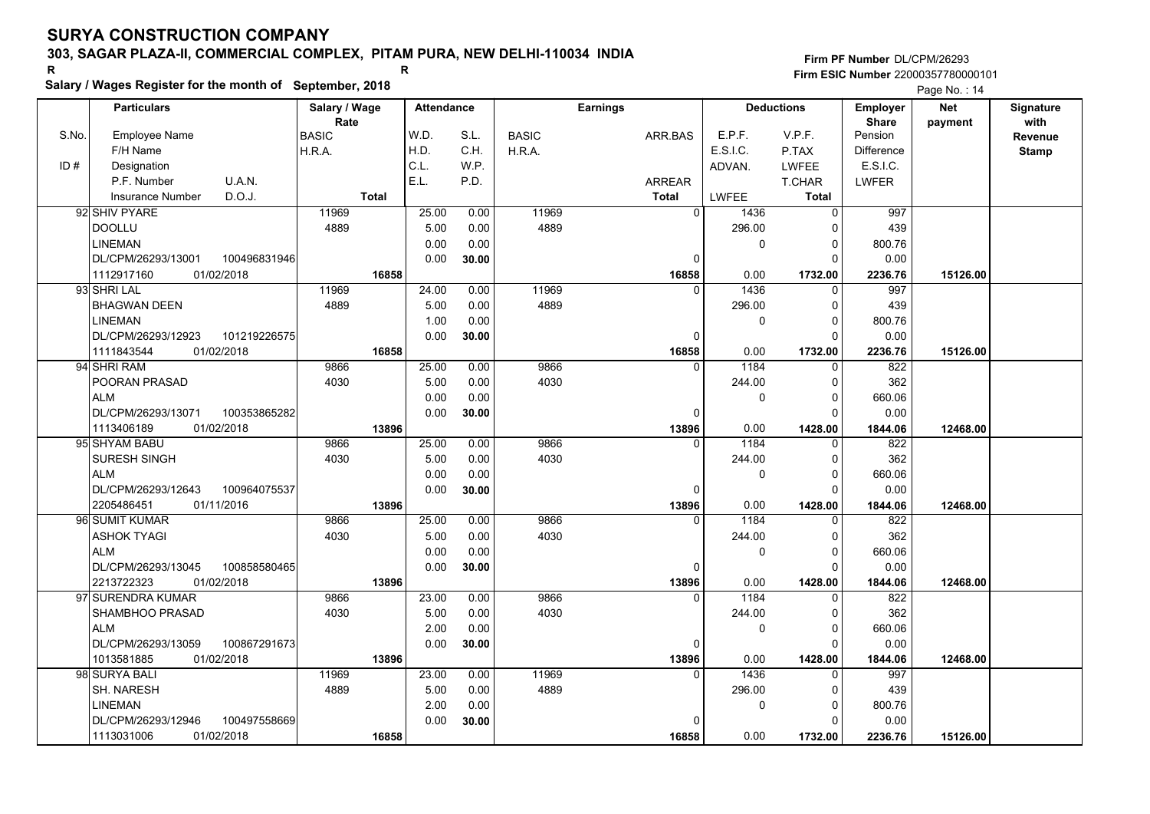**Firm PF Number**DL/CPM/26293**Firm ESIC Number** 22000357780000101

**Salary / Wages Register for the month of September, 2018 <sup>R</sup> <sup>R</sup>** Page No. : 14 ┯ **Deductions Employer Sharepayment**

|       | <b>Particulars</b>                                   | Salary / Wage        | <b>Attendance</b> |       | <b>Earnings</b> |              | <b>Deductions</b> |              | <b>Employer</b>         | <b>Net</b> | Signature    |
|-------|------------------------------------------------------|----------------------|-------------------|-------|-----------------|--------------|-------------------|--------------|-------------------------|------------|--------------|
| S.No. | Employee Name                                        | Rate<br><b>BASIC</b> | W.D.              | S.L.  | <b>BASIC</b>    | ARR.BAS      | E.P.F.            | V.P.F.       | <b>Share</b><br>Pension | payment    | with         |
|       | F/H Name                                             | H.R.A.               | H.D.              | C.H.  | H.R.A.          |              | <b>E.S.I.C.</b>   | P.TAX        | <b>Difference</b>       |            | Revenue      |
| ID#   | Designation                                          |                      | C.L.              | W.P.  |                 |              | ADVAN.            | LWFEE        | E.S.I.C.                |            | <b>Stamp</b> |
|       | U.A.N.<br>P.F. Number                                |                      | E.L.              | P.D.  |                 | ARREAR       |                   | T.CHAR       | LWFER                   |            |              |
|       | D.O.J.<br><b>Insurance Number</b>                    | <b>Total</b>         |                   |       |                 | <b>Total</b> | <b>LWFEE</b>      | <b>Total</b> |                         |            |              |
|       | 92 SHIV PYARE                                        | 11969                | 25.00             | 0.00  | 11969           | 0            |                   | $\Omega$     | 997                     |            |              |
|       | <b>DOOLLU</b>                                        | 4889                 | 5.00              | 0.00  | 4889            |              | 1436<br>296.00    | 0            | 439                     |            |              |
|       |                                                      |                      | 0.00              | 0.00  |                 |              | 0                 | $\mathbf 0$  |                         |            |              |
|       | <b>LINEMAN</b><br>DL/CPM/26293/13001<br>100496831946 |                      | 0.00              |       |                 | $\Omega$     |                   | O            | 800.76<br>0.00          |            |              |
|       | 1112917160<br>01/02/2018                             | 16858                |                   | 30.00 |                 | 16858        | 0.00              | 1732.00      | 2236.76                 | 15126.00   |              |
|       | 93 SHRI LAL                                          | 11969                | 24.00             | 0.00  | 11969           | $\Omega$     | 1436              | $\Omega$     | 997                     |            |              |
|       | <b>BHAGWAN DEEN</b>                                  | 4889                 | 5.00              | 0.00  | 4889            |              | 296.00            | $\Omega$     | 439                     |            |              |
|       | <b>LINEMAN</b>                                       |                      | 1.00              | 0.00  |                 |              | 0                 | $\Omega$     | 800.76                  |            |              |
|       | DL/CPM/26293/12923<br>101219226575                   |                      | 0.00              | 30.00 |                 | $\Omega$     |                   | $\Omega$     | 0.00                    |            |              |
|       | 01/02/2018<br>1111843544                             | 16858                |                   |       |                 | 16858        | 0.00              | 1732.00      | 2236.76                 | 15126.00   |              |
|       | 94 SHRI RAM                                          | 9866                 | 25.00             | 0.00  | 9866            | $\Omega$     | 1184              | $\Omega$     | 822                     |            |              |
|       | POORAN PRASAD                                        | 4030                 | 5.00              | 0.00  | 4030            |              | 244.00            | $\Omega$     | 362                     |            |              |
|       | <b>ALM</b>                                           |                      | 0.00              | 0.00  |                 |              | 0                 | $\Omega$     | 660.06                  |            |              |
|       | DL/CPM/26293/13071<br>100353865282                   |                      | 0.00              | 30.00 |                 | $\mathbf 0$  |                   | $\Omega$     | 0.00                    |            |              |
|       | 1113406189<br>01/02/2018                             | 13896                |                   |       |                 | 13896        | 0.00              | 1428.00      | 1844.06                 | 12468.00   |              |
|       | 95 SHYAM BABU                                        | 9866                 | 25.00             | 0.00  | 9866            | $\Omega$     | 1184              | $\Omega$     | 822                     |            |              |
|       | SURESH SINGH                                         | 4030                 | 5.00              | 0.00  | 4030            |              | 244.00            | $\Omega$     | 362                     |            |              |
|       | <b>ALM</b>                                           |                      | 0.00              | 0.00  |                 |              | $\Omega$          | $\Omega$     | 660.06                  |            |              |
|       | DL/CPM/26293/12643<br>100964075537                   |                      | 0.00              | 30.00 |                 | $\Omega$     |                   | $\Omega$     | 0.00                    |            |              |
|       | 2205486451<br>01/11/2016                             | 13896                |                   |       |                 | 13896        | 0.00              | 1428.00      | 1844.06                 | 12468.00   |              |
|       | 96 SUMIT KUMAR                                       | 9866                 | 25.00             | 0.00  | 9866            | $\Omega$     | 1184              | $\Omega$     | 822                     |            |              |
|       | <b>ASHOK TYAGI</b>                                   | 4030                 | 5.00              | 0.00  | 4030            |              | 244.00            | $\Omega$     | 362                     |            |              |
|       | <b>ALM</b>                                           |                      | 0.00              | 0.00  |                 |              | 0                 | $\mathbf 0$  | 660.06                  |            |              |
|       | DL/CPM/26293/13045<br>100858580465                   |                      | 0.00              | 30.00 |                 | $\Omega$     |                   | $\Omega$     | 0.00                    |            |              |
|       | 01/02/2018<br>2213722323                             | 13896                |                   |       |                 | 13896        | 0.00              | 1428.00      | 1844.06                 | 12468.00   |              |
|       | 97 SURENDRA KUMAR                                    | 9866                 | 23.00             | 0.00  | 9866            |              | 1184              |              | 822                     |            |              |
|       | SHAMBHOO PRASAD                                      | 4030                 | 5.00              | 0.00  | 4030            |              | 244.00            | $\Omega$     | 362                     |            |              |
|       | <b>ALM</b>                                           |                      | 2.00              | 0.00  |                 |              | 0                 | $\Omega$     | 660.06                  |            |              |
|       | DL/CPM/26293/13059<br>100867291673                   |                      | 0.00              | 30.00 |                 | 0            |                   | $\Omega$     | 0.00                    |            |              |
|       | 1013581885<br>01/02/2018                             | 13896                |                   |       |                 | 13896        | 0.00              | 1428.00      | 1844.06                 | 12468.00   |              |
|       | 98 SURYA BALI                                        | 11969                | 23.00             | 0.00  | 11969           | $\Omega$     | 1436              | $\Omega$     | 997                     |            |              |
|       | <b>SH. NARESH</b>                                    | 4889                 | 5.00              | 0.00  | 4889            |              | 296.00            | $\Omega$     | 439                     |            |              |
|       | <b>LINEMAN</b>                                       |                      | 2.00              | 0.00  |                 |              | 0                 | $\Omega$     | 800.76                  |            |              |
|       | DL/CPM/26293/12946<br>100497558669                   |                      | 0.00              | 30.00 |                 | $\Omega$     |                   | $\Omega$     | 0.00                    |            |              |
|       | 01/02/2018<br>1113031006                             | 16858                |                   |       |                 | 16858        | 0.00              | 1732.00      | 2236.76                 | 15126.00   |              |